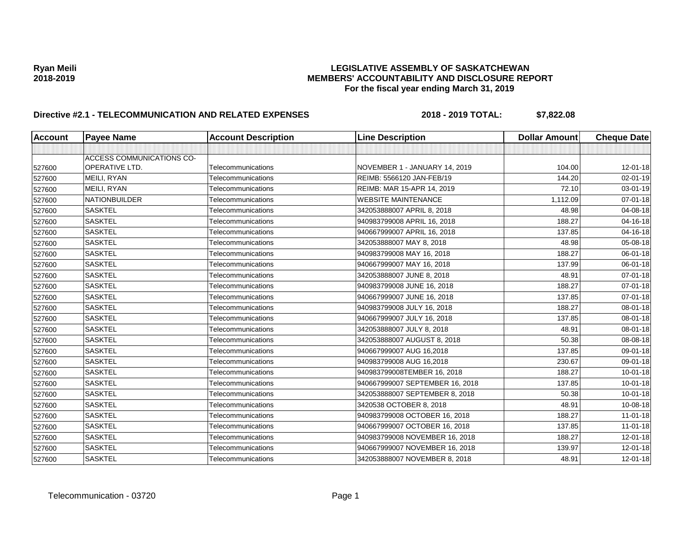| <b>Account</b> | <b>Payee Name</b>                | <b>Account Description</b> | <b>Line Description</b>         | <b>Dollar Amount</b> | <b>Cheque Date</b> |
|----------------|----------------------------------|----------------------------|---------------------------------|----------------------|--------------------|
|                |                                  |                            |                                 |                      |                    |
|                | <b>ACCESS COMMUNICATIONS CO-</b> |                            |                                 |                      |                    |
| 527600         | <b>OPERATIVE LTD.</b>            | Telecommunications         | NOVEMBER 1 - JANUARY 14, 2019   | 104.00               | 12-01-18           |
| 527600         | MEILI, RYAN                      | Telecommunications         | REIMB: 5566120 JAN-FEB/19       | 144.20               | 02-01-19           |
| 527600         | MEILI, RYAN                      | Telecommunications         | REIMB: MAR 15-APR 14, 2019      | 72.10                | 03-01-19           |
| 527600         | <b>NATIONBUILDER</b>             | Telecommunications         | <b>WEBSITE MAINTENANCE</b>      | 1,112.09             | $07 - 01 - 18$     |
| 527600         | <b>SASKTEL</b>                   | Telecommunications         | 342053888007 APRIL 8, 2018      | 48.98                | 04-08-18           |
| 527600         | <b>SASKTEL</b>                   | Telecommunications         | 940983799008 APRIL 16, 2018     | 188.27               | 04-16-18           |
| 527600         | <b>SASKTEL</b>                   | Telecommunications         | 940667999007 APRIL 16, 2018     | 137.85               | 04-16-18           |
| 527600         | <b>SASKTEL</b>                   | Telecommunications         | 342053888007 MAY 8, 2018        | 48.98                | 05-08-18           |
| 527600         | <b>SASKTEL</b>                   | Telecommunications         | 940983799008 MAY 16, 2018       | 188.27               | 06-01-18           |
| 527600         | <b>SASKTEL</b>                   | Telecommunications         | 940667999007 MAY 16, 2018       | 137.99               | 06-01-18           |
| 527600         | <b>SASKTEL</b>                   | Telecommunications         | 342053888007 JUNE 8, 2018       | 48.91                | $07 - 01 - 18$     |
| 527600         | <b>SASKTEL</b>                   | Telecommunications         | 940983799008 JUNE 16, 2018      | 188.27               | 07-01-18           |
| 527600         | <b>SASKTEL</b>                   | Telecommunications         | 940667999007 JUNE 16, 2018      | 137.85               | 07-01-18           |
| 527600         | <b>SASKTEL</b>                   | Telecommunications         | 940983799008 JULY 16, 2018      | 188.27               | 08-01-18           |
| 527600         | <b>SASKTEL</b>                   | Telecommunications         | 940667999007 JULY 16, 2018      | 137.85               | 08-01-18           |
| 527600         | <b>SASKTEL</b>                   | Telecommunications         | 342053888007 JULY 8, 2018       | 48.91                | 08-01-18           |
| 527600         | <b>SASKTEL</b>                   | Telecommunications         | 342053888007 AUGUST 8, 2018     | 50.38                | 08-08-18           |
| 527600         | <b>SASKTEL</b>                   | Telecommunications         | 940667999007 AUG 16,2018        | 137.85               | 09-01-18           |
| 527600         | <b>SASKTEL</b>                   | Telecommunications         | 940983799008 AUG 16,2018        | 230.67               | 09-01-18           |
| 527600         | <b>SASKTEL</b>                   | Telecommunications         | 940983799008TEMBER 16, 2018     | 188.27               | $10 - 01 - 18$     |
| 527600         | <b>SASKTEL</b>                   | Telecommunications         | 940667999007 SEPTEMBER 16, 2018 | 137.85               | $10 - 01 - 18$     |
| 527600         | <b>SASKTEL</b>                   | Telecommunications         | 342053888007 SEPTEMBER 8, 2018  | 50.38                | $10 - 01 - 18$     |
| 527600         | <b>SASKTEL</b>                   | Telecommunications         | 3420538 OCTOBER 8, 2018         | 48.91                | 10-08-18           |
| 527600         | <b>SASKTEL</b>                   | Telecommunications         | 940983799008 OCTOBER 16, 2018   | 188.27               | $11 - 01 - 18$     |
| 527600         | <b>SASKTEL</b>                   | Telecommunications         | 940667999007 OCTOBER 16, 2018   | 137.85               | $11 - 01 - 18$     |
| 527600         | <b>SASKTEL</b>                   | Telecommunications         | 940983799008 NOVEMBER 16, 2018  | 188.27               | $12 - 01 - 18$     |
| 527600         | <b>SASKTEL</b>                   | Telecommunications         | 940667999007 NOVEMBER 16, 2018  | 139.97               | 12-01-18           |
| 527600         | <b>SASKTEL</b>                   | Telecommunications         | 342053888007 NOVEMBER 8, 2018   | 48.91                | 12-01-18           |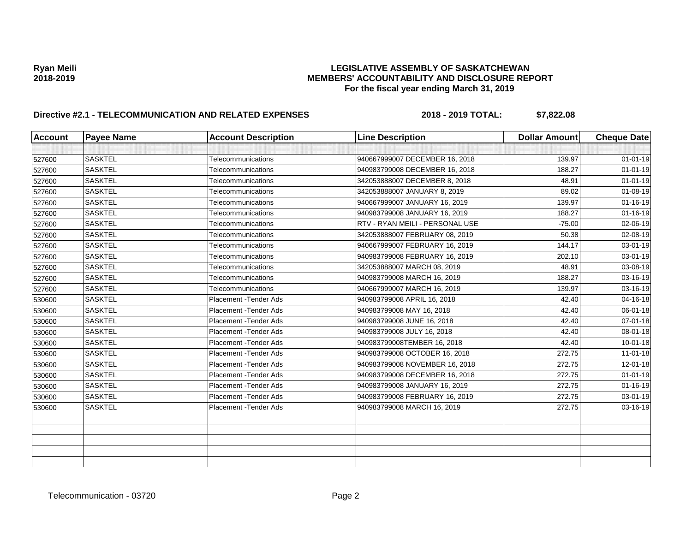| <b>Account</b> | <b>Payee Name</b> | <b>Account Description</b> | <b>Line Description</b>         | <b>Dollar Amount</b> | <b>Cheque Date</b> |
|----------------|-------------------|----------------------------|---------------------------------|----------------------|--------------------|
|                |                   |                            |                                 |                      |                    |
| 527600         | <b>SASKTEL</b>    | Telecommunications         | 940667999007 DECEMBER 16, 2018  | 139.97               | $01 - 01 - 19$     |
| 527600         | <b>SASKTEL</b>    | Telecommunications         | 940983799008 DECEMBER 16, 2018  | 188.27               | $01 - 01 - 19$     |
| 527600         | <b>SASKTEL</b>    | Telecommunications         | 342053888007 DECEMBER 8, 2018   | 48.91                | $01 - 01 - 19$     |
| 527600         | <b>SASKTEL</b>    | Telecommunications         | 342053888007 JANUARY 8, 2019    | 89.02                | $01 - 08 - 19$     |
| 527600         | <b>SASKTEL</b>    | Telecommunications         | 940667999007 JANUARY 16, 2019   | 139.97               | $01 - 16 - 19$     |
| 527600         | <b>SASKTEL</b>    | Telecommunications         | 940983799008 JANUARY 16, 2019   | 188.27               | $01 - 16 - 19$     |
| 527600         | <b>SASKTEL</b>    | Telecommunications         | RTV - RYAN MEILI - PERSONAL USE | $-75.00$             | 02-06-19           |
| 527600         | <b>SASKTEL</b>    | Telecommunications         | 342053888007 FEBRUARY 08, 2019  | 50.38                | 02-08-19           |
| 527600         | <b>SASKTEL</b>    | Telecommunications         | 940667999007 FEBRUARY 16, 2019  | 144.17               | 03-01-19           |
| 527600         | <b>SASKTEL</b>    | Telecommunications         | 940983799008 FEBRUARY 16, 2019  | 202.10               | 03-01-19           |
| 527600         | <b>SASKTEL</b>    | Telecommunications         | 342053888007 MARCH 08, 2019     | 48.91                | 03-08-19           |
| 527600         | <b>SASKTEL</b>    | Telecommunications         | 940983799008 MARCH 16, 2019     | 188.27               | 03-16-19           |
| 527600         | <b>SASKTEL</b>    | Telecommunications         | 940667999007 MARCH 16, 2019     | 139.97               | 03-16-19           |
| 530600         | <b>SASKTEL</b>    | Placement - Tender Ads     | 940983799008 APRIL 16, 2018     | 42.40                | 04-16-18           |
| 530600         | <b>SASKTEL</b>    | Placement - Tender Ads     | 940983799008 MAY 16, 2018       | 42.40                | 06-01-18           |
| 530600         | <b>SASKTEL</b>    | Placement - Tender Ads     | 940983799008 JUNE 16, 2018      | 42.40                | 07-01-18           |
| 530600         | <b>SASKTEL</b>    | Placement - Tender Ads     | 940983799008 JULY 16, 2018      | 42.40                | 08-01-18           |
| 530600         | <b>SASKTEL</b>    | Placement - Tender Ads     | 940983799008TEMBER 16, 2018     | 42.40                | $10 - 01 - 18$     |
| 530600         | <b>SASKTEL</b>    | Placement - Tender Ads     | 940983799008 OCTOBER 16, 2018   | 272.75               | $11 - 01 - 18$     |
| 530600         | <b>SASKTEL</b>    | Placement - Tender Ads     | 940983799008 NOVEMBER 16, 2018  | 272.75               | 12-01-18           |
| 530600         | <b>SASKTEL</b>    | Placement - Tender Ads     | 940983799008 DECEMBER 16, 2018  | 272.75               | $01 - 01 - 19$     |
| 530600         | <b>SASKTEL</b>    | Placement - Tender Ads     | 940983799008 JANUARY 16, 2019   | 272.75               | $01 - 16 - 19$     |
| 530600         | <b>SASKTEL</b>    | Placement - Tender Ads     | 940983799008 FEBRUARY 16, 2019  | 272.75               | 03-01-19           |
| 530600         | <b>SASKTEL</b>    | Placement - Tender Ads     | 940983799008 MARCH 16, 2019     | 272.75               | 03-16-19           |
|                |                   |                            |                                 |                      |                    |
|                |                   |                            |                                 |                      |                    |
|                |                   |                            |                                 |                      |                    |
|                |                   |                            |                                 |                      |                    |
|                |                   |                            |                                 |                      |                    |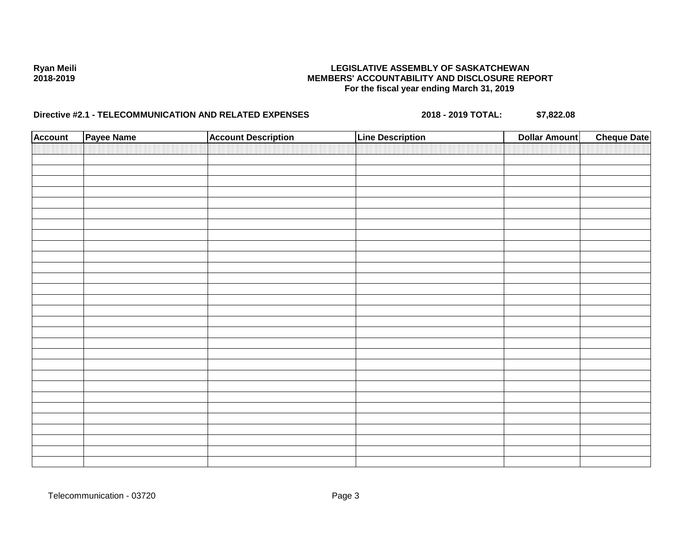| <b>Account</b> | Payee Name | <b>Account Description</b> | <b>Line Description</b> | <b>Dollar Amount</b> | <b>Cheque Date</b> |
|----------------|------------|----------------------------|-------------------------|----------------------|--------------------|
|                |            |                            |                         |                      |                    |
|                |            |                            |                         |                      |                    |
|                |            |                            |                         |                      |                    |
|                |            |                            |                         |                      |                    |
|                |            |                            |                         |                      |                    |
|                |            |                            |                         |                      |                    |
|                |            |                            |                         |                      |                    |
|                |            |                            |                         |                      |                    |
|                |            |                            |                         |                      |                    |
|                |            |                            |                         |                      |                    |
|                |            |                            |                         |                      |                    |
|                |            |                            |                         |                      |                    |
|                |            |                            |                         |                      |                    |
|                |            |                            |                         |                      |                    |
|                |            |                            |                         |                      |                    |
|                |            |                            |                         |                      |                    |
|                |            |                            |                         |                      |                    |
|                |            |                            |                         |                      |                    |
|                |            |                            |                         |                      |                    |
|                |            |                            |                         |                      |                    |
|                |            |                            |                         |                      |                    |
|                |            |                            |                         |                      |                    |
|                |            |                            |                         |                      |                    |
|                |            |                            |                         |                      |                    |
|                |            |                            |                         |                      |                    |
|                |            |                            |                         |                      |                    |
|                |            |                            |                         |                      |                    |
|                |            |                            |                         |                      |                    |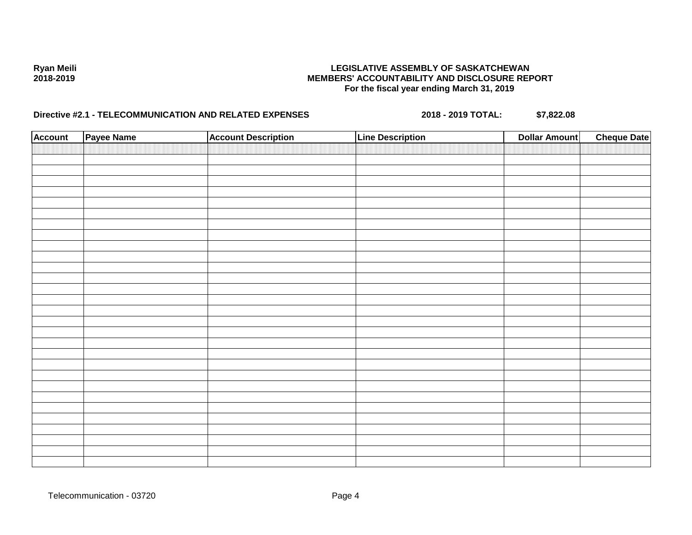| <b>Account</b> | Payee Name | <b>Account Description</b> | <b>Line Description</b> | <b>Dollar Amount</b> | <b>Cheque Date</b> |
|----------------|------------|----------------------------|-------------------------|----------------------|--------------------|
|                |            |                            |                         |                      |                    |
|                |            |                            |                         |                      |                    |
|                |            |                            |                         |                      |                    |
|                |            |                            |                         |                      |                    |
|                |            |                            |                         |                      |                    |
|                |            |                            |                         |                      |                    |
|                |            |                            |                         |                      |                    |
|                |            |                            |                         |                      |                    |
|                |            |                            |                         |                      |                    |
|                |            |                            |                         |                      |                    |
|                |            |                            |                         |                      |                    |
|                |            |                            |                         |                      |                    |
|                |            |                            |                         |                      |                    |
|                |            |                            |                         |                      |                    |
|                |            |                            |                         |                      |                    |
|                |            |                            |                         |                      |                    |
|                |            |                            |                         |                      |                    |
|                |            |                            |                         |                      |                    |
|                |            |                            |                         |                      |                    |
|                |            |                            |                         |                      |                    |
|                |            |                            |                         |                      |                    |
|                |            |                            |                         |                      |                    |
|                |            |                            |                         |                      |                    |
|                |            |                            |                         |                      |                    |
|                |            |                            |                         |                      |                    |
|                |            |                            |                         |                      |                    |
|                |            |                            |                         |                      |                    |
|                |            |                            |                         |                      |                    |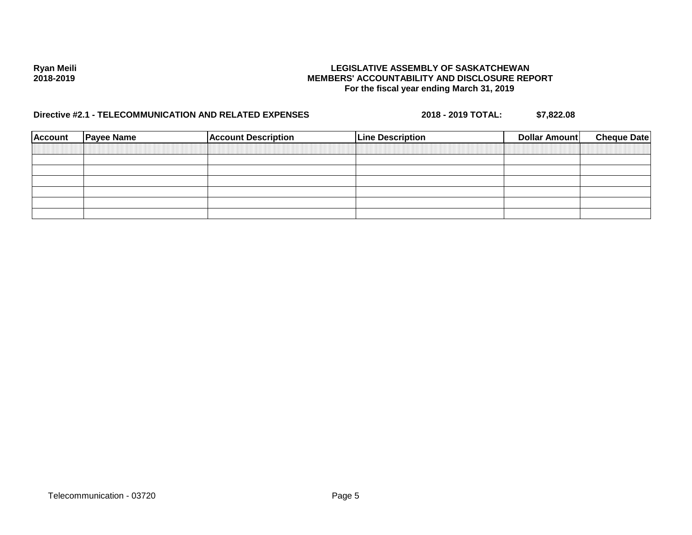| <b>Account</b> | <b>Payee Name</b> | <b>Account Description</b> | <b>Line Description</b> | <b>Dollar Amount</b> | <b>Cheque Date</b> |
|----------------|-------------------|----------------------------|-------------------------|----------------------|--------------------|
|                |                   |                            |                         |                      |                    |
|                |                   |                            |                         |                      |                    |
|                |                   |                            |                         |                      |                    |
|                |                   |                            |                         |                      |                    |
|                |                   |                            |                         |                      |                    |
|                |                   |                            |                         |                      |                    |
|                |                   |                            |                         |                      |                    |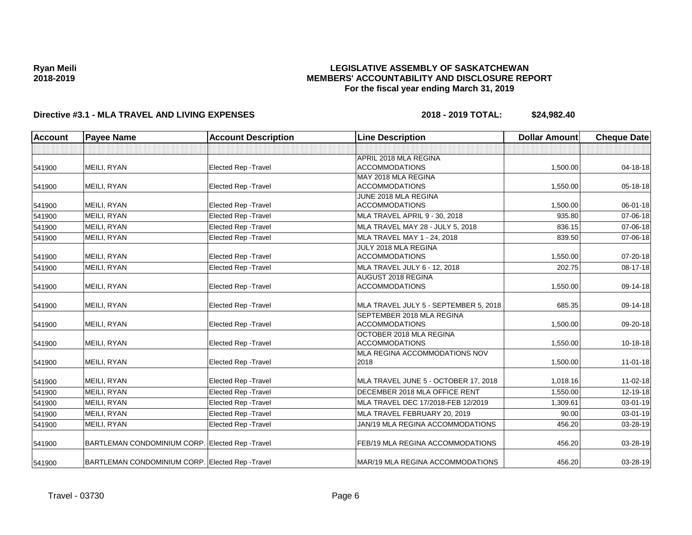## **LEGISLATIVE ASSEMBLY OF SASKATCHEWAN MEMBERS' ACCOUNTABILITY AND DISCLOSURE REPORT For the fiscal year ending March 31, 2019**

| <b>Account</b><br><b>Payee Name</b> |                                                  | <b>Account Description</b>  | <b>Line Description</b>               | <b>Dollar Amount</b> | <b>Cheque Date</b> |
|-------------------------------------|--------------------------------------------------|-----------------------------|---------------------------------------|----------------------|--------------------|
|                                     |                                                  |                             |                                       |                      |                    |
|                                     |                                                  |                             | APRIL 2018 MLA REGINA                 |                      |                    |
| 541900                              | MEILI, RYAN                                      | <b>Elected Rep - Travel</b> | <b>ACCOMMODATIONS</b>                 | 1,500.00             | 04-18-18           |
|                                     |                                                  |                             | MAY 2018 MLA REGINA                   |                      |                    |
| 541900                              | MEILI, RYAN                                      | <b>Elected Rep - Travel</b> | <b>ACCOMMODATIONS</b>                 | 1,550.00             | 05-18-18           |
|                                     |                                                  |                             | JUNE 2018 MLA REGINA                  |                      |                    |
| 541900                              | MEILI, RYAN                                      | <b>Elected Rep - Travel</b> | <b>ACCOMMODATIONS</b>                 | 1,500.00             | 06-01-18           |
| 541900                              | MEILI, RYAN                                      | <b>Elected Rep - Travel</b> | MLA TRAVEL APRIL 9 - 30, 2018         | 935.80               | 07-06-18           |
| 541900                              | MEILI, RYAN                                      | <b>Elected Rep - Travel</b> | MLA TRAVEL MAY 28 - JULY 5, 2018      | 836.15               | 07-06-18           |
| 541900                              | MEILI, RYAN                                      | Elected Rep - Travel        | MLA TRAVEL MAY 1 - 24, 2018           | 839.50               | 07-06-18           |
|                                     |                                                  |                             | JULY 2018 MLA REGINA                  |                      |                    |
| 541900                              | MEILI, RYAN                                      | <b>Elected Rep - Travel</b> | <b>ACCOMMODATIONS</b>                 | 1,550.00             | 07-20-18           |
| 541900                              | MEILI, RYAN                                      | Elected Rep - Travel        | MLA TRAVEL JULY 6 - 12, 2018          | 202.75               | 08-17-18           |
|                                     |                                                  |                             | <b>AUGUST 2018 REGINA</b>             |                      |                    |
| 541900                              | MEILI, RYAN                                      | <b>Elected Rep - Travel</b> | <b>ACCOMMODATIONS</b>                 | 1,550.00             | 09-14-18           |
| 541900                              | MEILI, RYAN                                      | <b>Elected Rep - Travel</b> | MLA TRAVEL JULY 5 - SEPTEMBER 5. 2018 | 685.35               | 09-14-18           |
|                                     |                                                  |                             | SEPTEMBER 2018 MLA REGINA             |                      |                    |
| 541900                              | MEILI, RYAN                                      | Elected Rep - Travel        | <b>ACCOMMODATIONS</b>                 | 1,500.00             | 09-20-18           |
|                                     |                                                  |                             | OCTOBER 2018 MLA REGINA               |                      |                    |
| 541900                              | MEILI, RYAN                                      | <b>Elected Rep - Travel</b> | <b>ACCOMMODATIONS</b>                 | 1,550.00             | $10-18-18$         |
|                                     |                                                  |                             | MLA REGINA ACCOMMODATIONS NOV         |                      |                    |
| 541900                              | MEILI, RYAN                                      | <b>Elected Rep - Travel</b> | 2018                                  | 1,500.00             | $11 - 01 - 18$     |
| 541900                              | MEILI, RYAN                                      | <b>Elected Rep - Travel</b> | MLA TRAVEL JUNE 5 - OCTOBER 17, 2018  | 1,018.16             | $11 - 02 - 18$     |
| 541900                              | MEILI, RYAN                                      | <b>Elected Rep - Travel</b> | DECEMBER 2018 MLA OFFICE RENT         | 1,550.00             | 12-19-18           |
| 541900                              | MEILI, RYAN                                      | Elected Rep - Travel        | MLA TRAVEL DEC 17/2018-FEB 12/2019    | 1,309.61             | 03-01-19           |
| 541900                              | MEILI, RYAN                                      | Elected Rep - Travel        | MLA TRAVEL FEBRUARY 20, 2019          | 90.00                | $03 - 01 - 19$     |
| 541900                              | MEILI, RYAN                                      | Elected Rep - Travel        | JAN/19 MLA REGINA ACCOMMODATIONS      | 456.20               | 03-28-19           |
|                                     |                                                  |                             |                                       |                      |                    |
| 541900                              | BARTLEMAN CONDOMINIUM CORP. Elected Rep - Travel |                             | FEB/19 MLA REGINA ACCOMMODATIONS      | 456.20               | 03-28-19           |
| 541900                              | BARTLEMAN CONDOMINIUM CORP. Elected Rep - Travel |                             | MAR/19 MLA REGINA ACCOMMODATIONS      | 456.20               | 03-28-19           |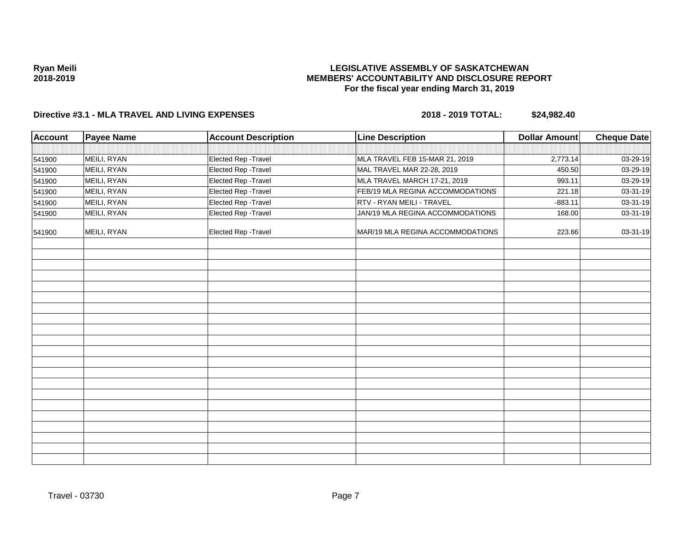## **LEGISLATIVE ASSEMBLY OF SASKATCHEWAN MEMBERS' ACCOUNTABILITY AND DISCLOSURE REPORT For the fiscal year ending March 31, 2019**

| <b>Account</b> | <b>Payee Name</b> | <b>Account Description</b> | <b>Line Description</b>          | <b>Dollar Amount</b> | <b>Cheque Date</b> |
|----------------|-------------------|----------------------------|----------------------------------|----------------------|--------------------|
|                |                   |                            |                                  |                      |                    |
| 541900         | MEILI, RYAN       | Elected Rep - Travel       | MLA TRAVEL FEB 15-MAR 21, 2019   | 2,773.14             | 03-29-19           |
| 541900         | MEILI, RYAN       | Elected Rep - Travel       | MAL TRAVEL MAR 22-28, 2019       | 450.50               | 03-29-19           |
| 541900         | MEILI, RYAN       | Elected Rep - Travel       | MLA TRAVEL MARCH 17-21, 2019     | 993.11               | 03-29-19           |
| 541900         | MEILI, RYAN       | Elected Rep - Travel       | FEB/19 MLA REGINA ACCOMMODATIONS | 221.18               | 03-31-19           |
| 541900         | MEILI, RYAN       | Elected Rep - Travel       | RTV - RYAN MEILI - TRAVEL        | $-883.11$            | 03-31-19           |
| 541900         | MEILI, RYAN       | Elected Rep - Travel       | JAN/19 MLA REGINA ACCOMMODATIONS | 168.00               | 03-31-19           |
| 541900         | MEILI, RYAN       | Elected Rep - Travel       | MAR/19 MLA REGINA ACCOMMODATIONS | 223.66               | 03-31-19           |
|                |                   |                            |                                  |                      |                    |
|                |                   |                            |                                  |                      |                    |
|                |                   |                            |                                  |                      |                    |
|                |                   |                            |                                  |                      |                    |
|                |                   |                            |                                  |                      |                    |
|                |                   |                            |                                  |                      |                    |
|                |                   |                            |                                  |                      |                    |
|                |                   |                            |                                  |                      |                    |
|                |                   |                            |                                  |                      |                    |
|                |                   |                            |                                  |                      |                    |
|                |                   |                            |                                  |                      |                    |
|                |                   |                            |                                  |                      |                    |
|                |                   |                            |                                  |                      |                    |
|                |                   |                            |                                  |                      |                    |
|                |                   |                            |                                  |                      |                    |
|                |                   |                            |                                  |                      |                    |
|                |                   |                            |                                  |                      |                    |
|                |                   |                            |                                  |                      |                    |
|                |                   |                            |                                  |                      |                    |
|                |                   |                            |                                  |                      |                    |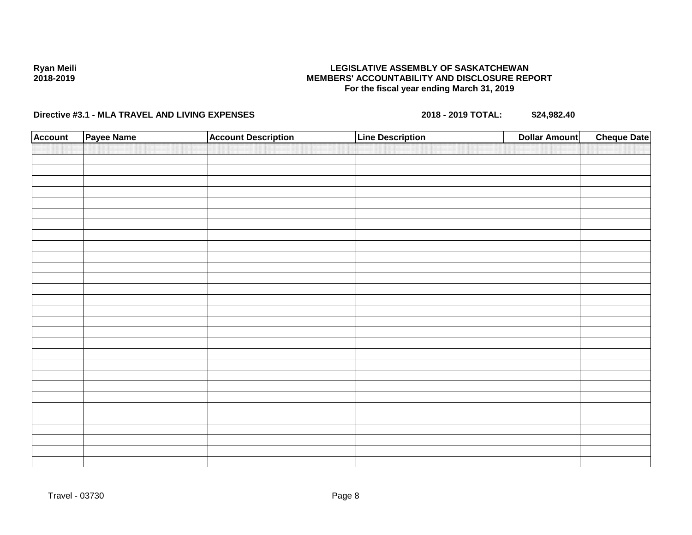## **LEGISLATIVE ASSEMBLY OF SASKATCHEWAN MEMBERS' ACCOUNTABILITY AND DISCLOSURE REPORT For the fiscal year ending March 31, 2019**

| <b>Account</b> | Payee Name | <b>Account Description</b> | <b>Line Description</b> | <b>Cheque Date</b><br><b>Dollar Amount</b> |  |
|----------------|------------|----------------------------|-------------------------|--------------------------------------------|--|
|                |            |                            |                         |                                            |  |
|                |            |                            |                         |                                            |  |
|                |            |                            |                         |                                            |  |
|                |            |                            |                         |                                            |  |
|                |            |                            |                         |                                            |  |
|                |            |                            |                         |                                            |  |
|                |            |                            |                         |                                            |  |
|                |            |                            |                         |                                            |  |
|                |            |                            |                         |                                            |  |
|                |            |                            |                         |                                            |  |
|                |            |                            |                         |                                            |  |
|                |            |                            |                         |                                            |  |
|                |            |                            |                         |                                            |  |
|                |            |                            |                         |                                            |  |
|                |            |                            |                         |                                            |  |
|                |            |                            |                         |                                            |  |
|                |            |                            |                         |                                            |  |
|                |            |                            |                         |                                            |  |
|                |            |                            |                         |                                            |  |
|                |            |                            |                         |                                            |  |
|                |            |                            |                         |                                            |  |
|                |            |                            |                         |                                            |  |
|                |            |                            |                         |                                            |  |
|                |            |                            |                         |                                            |  |
|                |            |                            |                         |                                            |  |
|                |            |                            |                         |                                            |  |
|                |            |                            |                         |                                            |  |
|                |            |                            |                         |                                            |  |
|                |            |                            |                         |                                            |  |
|                |            |                            |                         |                                            |  |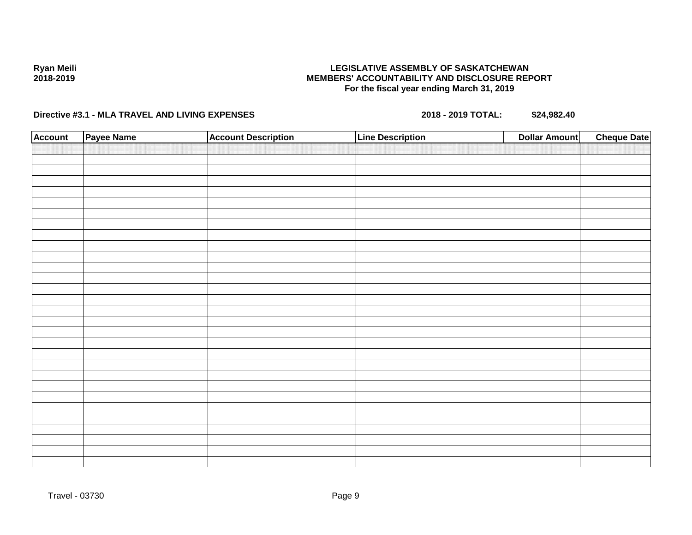## **LEGISLATIVE ASSEMBLY OF SASKATCHEWAN MEMBERS' ACCOUNTABILITY AND DISCLOSURE REPORT For the fiscal year ending March 31, 2019**

| <b>Account</b> | Payee Name | <b>Account Description</b> | <b>Line Description</b> | <b>Cheque Date</b><br><b>Dollar Amount</b> |  |
|----------------|------------|----------------------------|-------------------------|--------------------------------------------|--|
|                |            |                            |                         |                                            |  |
|                |            |                            |                         |                                            |  |
|                |            |                            |                         |                                            |  |
|                |            |                            |                         |                                            |  |
|                |            |                            |                         |                                            |  |
|                |            |                            |                         |                                            |  |
|                |            |                            |                         |                                            |  |
|                |            |                            |                         |                                            |  |
|                |            |                            |                         |                                            |  |
|                |            |                            |                         |                                            |  |
|                |            |                            |                         |                                            |  |
|                |            |                            |                         |                                            |  |
|                |            |                            |                         |                                            |  |
|                |            |                            |                         |                                            |  |
|                |            |                            |                         |                                            |  |
|                |            |                            |                         |                                            |  |
|                |            |                            |                         |                                            |  |
|                |            |                            |                         |                                            |  |
|                |            |                            |                         |                                            |  |
|                |            |                            |                         |                                            |  |
|                |            |                            |                         |                                            |  |
|                |            |                            |                         |                                            |  |
|                |            |                            |                         |                                            |  |
|                |            |                            |                         |                                            |  |
|                |            |                            |                         |                                            |  |
|                |            |                            |                         |                                            |  |
|                |            |                            |                         |                                            |  |
|                |            |                            |                         |                                            |  |
|                |            |                            |                         |                                            |  |
|                |            |                            |                         |                                            |  |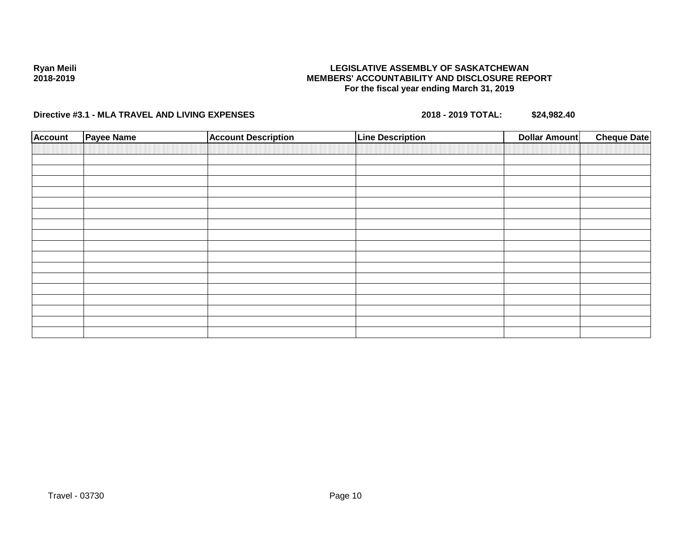## **LEGISLATIVE ASSEMBLY OF SASKATCHEWAN MEMBERS' ACCOUNTABILITY AND DISCLOSURE REPORT For the fiscal year ending March 31, 2019**

**Directive #3.1 - MLA TRAVEL AND LIVING EXPENSES 2018 - 2019 TOTAL: \$24,982.40**

**Ryan Meili 2018-2019**

| <b>Account</b> | <b>Payee Name</b> | <b>Account Description</b> | <b>Line Description</b> | <b>Cheque Date</b><br>Dollar Amount |
|----------------|-------------------|----------------------------|-------------------------|-------------------------------------|
|                |                   |                            |                         |                                     |
|                |                   |                            |                         |                                     |
|                |                   |                            |                         |                                     |
|                |                   |                            |                         |                                     |
|                |                   |                            |                         |                                     |
|                |                   |                            |                         |                                     |
|                |                   |                            |                         |                                     |
|                |                   |                            |                         |                                     |
|                |                   |                            |                         |                                     |
|                |                   |                            |                         |                                     |
|                |                   |                            |                         |                                     |
|                |                   |                            |                         |                                     |
|                |                   |                            |                         |                                     |
|                |                   |                            |                         |                                     |
|                |                   |                            |                         |                                     |
|                |                   |                            |                         |                                     |
|                |                   |                            |                         |                                     |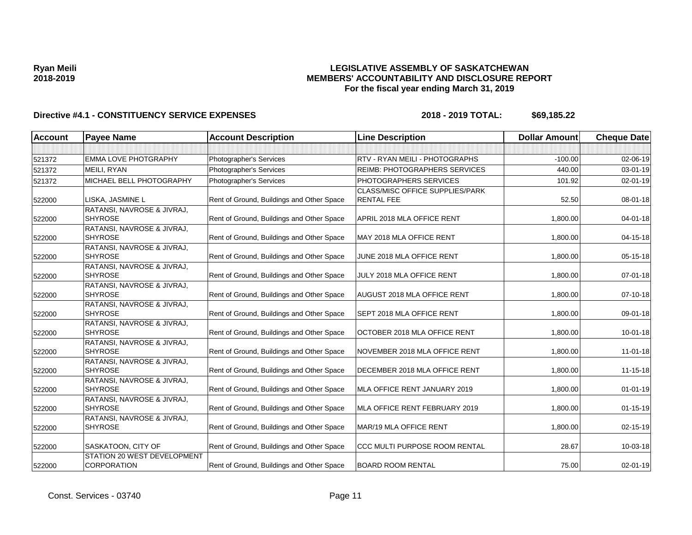## **LEGISLATIVE ASSEMBLY OF SASKATCHEWAN MEMBERS' ACCOUNTABILITY AND DISCLOSURE REPORT For the fiscal year ending March 31, 2019**

| <b>Account</b> | <b>Payee Name</b>                                 | <b>Account Description</b>                | <b>Line Description</b>                                     | <b>Dollar Amount</b> | <b>Cheque Date</b> |
|----------------|---------------------------------------------------|-------------------------------------------|-------------------------------------------------------------|----------------------|--------------------|
|                |                                                   |                                           |                                                             |                      |                    |
| 521372         | EMMA LOVE PHOTGRAPHY                              | Photographer's Services                   | RTV - RYAN MEILI - PHOTOGRAPHS                              | $-100.00$            | 02-06-19           |
| 521372         | MEILI, RYAN                                       | Photographer's Services                   | <b>REIMB: PHOTOGRAPHERS SERVICES</b>                        | 440.00               | 03-01-19           |
| 521372         | MICHAEL BELL PHOTOGRAPHY                          | Photographer's Services                   | PHOTOGRAPHERS SERVICES                                      | 101.92               | $02 - 01 - 19$     |
| 522000         | LISKA, JASMINE L                                  | Rent of Ground, Buildings and Other Space | <b>CLASS/MISC OFFICE SUPPLIES/PARK</b><br><b>RENTAL FEE</b> | 52.50                | 08-01-18           |
| 522000         | RATANSI, NAVROSE & JIVRAJ,<br><b>SHYROSE</b>      | Rent of Ground, Buildings and Other Space | APRIL 2018 MLA OFFICE RENT                                  | 1,800.00             | $04 - 01 - 18$     |
| 522000         | RATANSI, NAVROSE & JIVRAJ,<br><b>SHYROSE</b>      | Rent of Ground, Buildings and Other Space | MAY 2018 MLA OFFICE RENT                                    | 1,800.00             | $04 - 15 - 18$     |
| 522000         | RATANSI, NAVROSE & JIVRAJ,<br><b>SHYROSE</b>      | Rent of Ground, Buildings and Other Space | JUNE 2018 MLA OFFICE RENT                                   | 1,800.00             | 05-15-18           |
| 522000         | RATANSI, NAVROSE & JIVRAJ,<br><b>SHYROSE</b>      | Rent of Ground, Buildings and Other Space | JULY 2018 MLA OFFICE RENT                                   | 1,800.00             | $07 - 01 - 18$     |
| 522000         | RATANSI, NAVROSE & JIVRAJ,<br><b>SHYROSE</b>      | Rent of Ground, Buildings and Other Space | AUGUST 2018 MLA OFFICE RENT                                 | 1,800.00             | 07-10-18           |
| 522000         | RATANSI, NAVROSE & JIVRAJ,<br><b>SHYROSE</b>      | Rent of Ground, Buildings and Other Space | <b>SEPT 2018 MLA OFFICE RENT</b>                            | 1,800.00             | 09-01-18           |
| 522000         | RATANSI, NAVROSE & JIVRAJ,<br><b>SHYROSE</b>      | Rent of Ground, Buildings and Other Space | OCTOBER 2018 MLA OFFICE RENT                                | 1,800.00             | $10 - 01 - 18$     |
| 522000         | RATANSI, NAVROSE & JIVRAJ,<br><b>SHYROSE</b>      | Rent of Ground, Buildings and Other Space | NOVEMBER 2018 MLA OFFICE RENT                               | 1,800.00             | $11 - 01 - 18$     |
| 522000         | RATANSI, NAVROSE & JIVRAJ,<br><b>SHYROSE</b>      | Rent of Ground, Buildings and Other Space | DECEMBER 2018 MLA OFFICE RENT                               | 1,800.00             | $11 - 15 - 18$     |
| 522000         | RATANSI, NAVROSE & JIVRAJ,<br><b>SHYROSE</b>      | Rent of Ground, Buildings and Other Space | MLA OFFICE RENT JANUARY 2019                                | 1,800.00             | $01-01-19$         |
| 522000         | RATANSI, NAVROSE & JIVRAJ,<br><b>SHYROSE</b>      | Rent of Ground, Buildings and Other Space | MLA OFFICE RENT FEBRUARY 2019                               | 1,800.00             | $01 - 15 - 19$     |
| 522000         | RATANSI, NAVROSE & JIVRAJ,<br><b>SHYROSE</b>      | Rent of Ground, Buildings and Other Space | MAR/19 MLA OFFICE RENT                                      | 1,800.00             | 02-15-19           |
| 522000         | SASKATOON, CITY OF                                | Rent of Ground, Buildings and Other Space | <b>CCC MULTI PURPOSE ROOM RENTAL</b>                        | 28.67                | 10-03-18           |
| 522000         | STATION 20 WEST DEVELOPMENT<br><b>CORPORATION</b> | Rent of Ground, Buildings and Other Space | <b>BOARD ROOM RENTAL</b>                                    | 75.00                | 02-01-19           |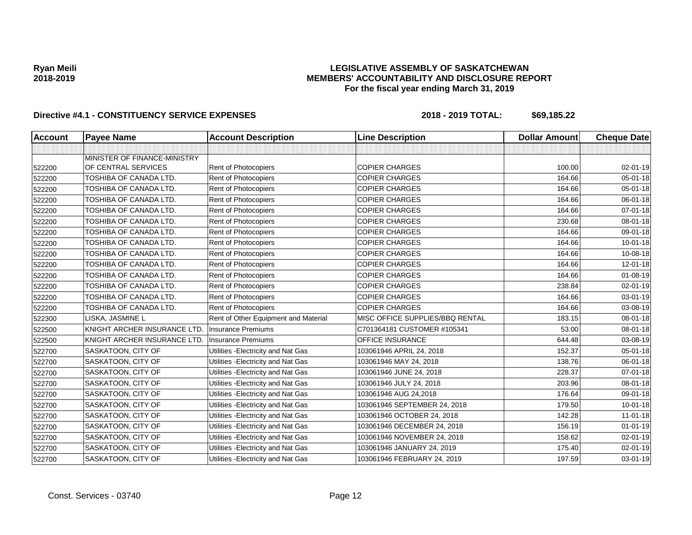## **LEGISLATIVE ASSEMBLY OF SASKATCHEWAN MEMBERS' ACCOUNTABILITY AND DISCLOSURE REPORT For the fiscal year ending March 31, 2019**

| <b>Account</b> | <b>Payee Name</b>             | <b>Account Description</b>           | <b>Line Description</b>         | <b>Dollar Amount</b> | <b>Cheque Date</b> |
|----------------|-------------------------------|--------------------------------------|---------------------------------|----------------------|--------------------|
|                |                               |                                      |                                 |                      |                    |
|                | MINISTER OF FINANCE-MINISTRY  |                                      |                                 |                      |                    |
| 522200         | OF CENTRAL SERVICES           | Rent of Photocopiers                 | <b>COPIER CHARGES</b>           | 100.00               | 02-01-19           |
| 522200         | TOSHIBA OF CANADA LTD.        | Rent of Photocopiers                 | <b>COPIER CHARGES</b>           | 164.66               | 05-01-18           |
| 522200         | TOSHIBA OF CANADA LTD.        | Rent of Photocopiers                 | <b>COPIER CHARGES</b>           | 164.66               | $05 - 01 - 18$     |
| 522200         | TOSHIBA OF CANADA LTD.        | Rent of Photocopiers                 | <b>COPIER CHARGES</b>           | 164.66               | 06-01-18           |
| 522200         | TOSHIBA OF CANADA LTD.        | Rent of Photocopiers                 | <b>COPIER CHARGES</b>           | 164.66               | $07 - 01 - 18$     |
| 522200         | TOSHIBA OF CANADA LTD.        | Rent of Photocopiers                 | <b>COPIER CHARGES</b>           | 230.68               | 08-01-18           |
| 522200         | TOSHIBA OF CANADA LTD.        | Rent of Photocopiers                 | <b>COPIER CHARGES</b>           | 164.66               | 09-01-18           |
| 522200         | TOSHIBA OF CANADA LTD.        | Rent of Photocopiers                 | <b>COPIER CHARGES</b>           | 164.66               | $10 - 01 - 18$     |
| 522200         | TOSHIBA OF CANADA LTD.        | Rent of Photocopiers                 | <b>COPIER CHARGES</b>           | 164.66               | 10-08-18           |
| 522200         | <b>TOSHIBA OF CANADA LTD.</b> | Rent of Photocopiers                 | <b>COPIER CHARGES</b>           | 164.66               | 12-01-18           |
| 522200         | TOSHIBA OF CANADA LTD.        | Rent of Photocopiers                 | <b>COPIER CHARGES</b>           | 164.66               | $01 - 08 - 19$     |
| 522200         | TOSHIBA OF CANADA LTD.        | Rent of Photocopiers                 | <b>COPIER CHARGES</b>           | 238.84               | $02 - 01 - 19$     |
| 522200         | TOSHIBA OF CANADA LTD.        | Rent of Photocopiers                 | <b>COPIER CHARGES</b>           | 164.66               | 03-01-19           |
| 522200         | TOSHIBA OF CANADA LTD.        | Rent of Photocopiers                 | <b>COPIER CHARGES</b>           | 164.66               | 03-08-19           |
| 522300         | LISKA, JASMINE L              | Rent of Other Equipment and Material | MISC OFFICE SUPPLIES/BBQ RENTAL | 183.15               | 08-01-18           |
| 522500         | KNIGHT ARCHER INSURANCE LTD.  | <b>Insurance Premiums</b>            | C701364181 CUSTOMER #105341     | 53.00                | 08-01-18           |
| 522500         | KNIGHT ARCHER INSURANCE LTD.  | <b>Insurance Premiums</b>            | <b>OFFICE INSURANCE</b>         | 644.48               | 03-08-19           |
| 522700         | SASKATOON, CITY OF            | Utilities - Electricity and Nat Gas  | 103061946 APRIL 24, 2018        | 152.37               | 05-01-18           |
| 522700         | SASKATOON, CITY OF            | Utilities - Electricity and Nat Gas  | 103061946 MAY 24, 2018          | 138.76               | 06-01-18           |
| 522700         | SASKATOON, CITY OF            | Utilities - Electricity and Nat Gas  | 103061946 JUNE 24, 2018         | 228.37               | $07 - 01 - 18$     |
| 522700         | SASKATOON, CITY OF            | Utilities - Electricity and Nat Gas  | 103061946 JULY 24, 2018         | 203.96               | 08-01-18           |
| 522700         | SASKATOON, CITY OF            | Utilities - Electricity and Nat Gas  | 103061946 AUG 24,2018           | 176.64               | 09-01-18           |
| 522700         | SASKATOON, CITY OF            | Utilities - Electricity and Nat Gas  | 103061946 SEPTEMBER 24, 2018    | 179.50               | $10 - 01 - 18$     |
| 522700         | SASKATOON, CITY OF            | Utilities - Electricity and Nat Gas  | 103061946 OCTOBER 24, 2018      | 142.28               | $11 - 01 - 18$     |
| 522700         | SASKATOON, CITY OF            | Utilities - Electricity and Nat Gas  | 103061946 DECEMBER 24, 2018     | 156.19               | $01 - 01 - 19$     |
| 522700         | SASKATOON, CITY OF            | Utilities - Electricity and Nat Gas  | 103061946 NOVEMBER 24, 2018     | 158.62               | 02-01-19           |
| 522700         | SASKATOON, CITY OF            | Utilities - Electricity and Nat Gas  | 103061946 JANUARY 24, 2019      | 175.40               | 02-01-19           |
| 522700         | SASKATOON, CITY OF            | Utilities - Electricity and Nat Gas  | 103061946 FEBRUARY 24, 2019     | 197.59               | 03-01-19           |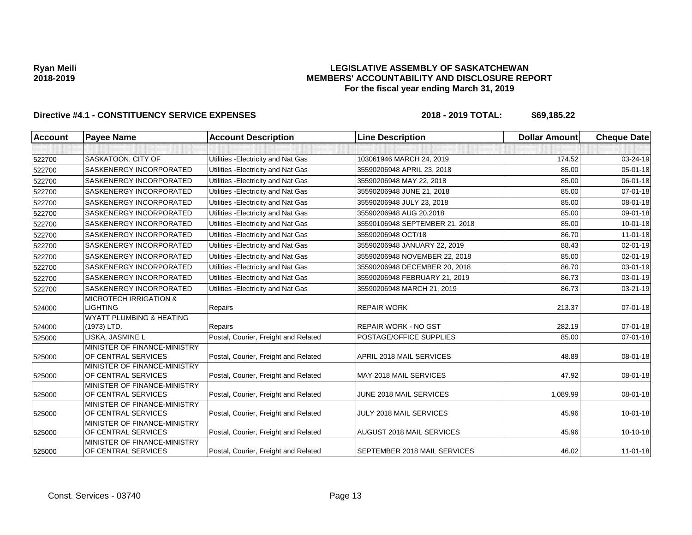## **LEGISLATIVE ASSEMBLY OF SASKATCHEWAN MEMBERS' ACCOUNTABILITY AND DISCLOSURE REPORT For the fiscal year ending March 31, 2019**

| <b>Account</b> | <b>Payee Name</b>                                   | <b>Account Description</b>           | <b>Line Description</b>        | <b>Dollar Amount</b> | <b>Cheque Date</b> |
|----------------|-----------------------------------------------------|--------------------------------------|--------------------------------|----------------------|--------------------|
|                |                                                     |                                      |                                |                      |                    |
| 522700         | SASKATOON, CITY OF                                  | Utilities - Electricity and Nat Gas  | 103061946 MARCH 24, 2019       | 174.52               | 03-24-19           |
| 522700         | SASKENERGY INCORPORATED                             | Utilities - Electricity and Nat Gas  | 35590206948 APRIL 23, 2018     | 85.00                | $05 - 01 - 18$     |
| 522700         | SASKENERGY INCORPORATED                             | Utilities - Electricity and Nat Gas  | 35590206948 MAY 22, 2018       | 85.00                | 06-01-18           |
| 522700         | <b>SASKENERGY INCORPORATED</b>                      | Utilities - Electricity and Nat Gas  | 35590206948 JUNE 21, 2018      | 85.00                | $07 - 01 - 18$     |
| 522700         | SASKENERGY INCORPORATED                             | Utilities - Electricity and Nat Gas  | 35590206948 JULY 23, 2018      | 85.00                | 08-01-18           |
| 522700         | <b>SASKENERGY INCORPORATED</b>                      | Utilities - Electricity and Nat Gas  | 35590206948 AUG 20,2018        | 85.00                | 09-01-18           |
| 522700         | <b>SASKENERGY INCORPORATED</b>                      | Utilities - Electricity and Nat Gas  | 35590106948 SEPTEMBER 21, 2018 | 85.00                | $10 - 01 - 18$     |
| 522700         | SASKENERGY INCORPORATED                             | Utilities - Electricity and Nat Gas  | 35590206948 OCT/18             | 86.70                | $11 - 01 - 18$     |
| 522700         | <b>SASKENERGY INCORPORATED</b>                      | Utilities - Electricity and Nat Gas  | 35590206948 JANUARY 22, 2019   | 88.43                | $02 - 01 - 19$     |
| 522700         | SASKENERGY INCORPORATED                             | Utilities - Electricity and Nat Gas  | 35590206948 NOVEMBER 22, 2018  | 85.00                | 02-01-19           |
| 522700         | SASKENERGY INCORPORATED                             | Utilities - Electricity and Nat Gas  | 35590206948 DECEMBER 20, 2018  | 86.70                | 03-01-19           |
| 522700         | SASKENERGY INCORPORATED                             | Utilities - Electricity and Nat Gas  | 35590206948 FEBRUARY 21, 2019  | 86.73                | 03-01-19           |
| 522700         | SASKENERGY INCORPORATED                             | Utilities - Electricity and Nat Gas  | 35590206948 MARCH 21, 2019     | 86.73                | 03-21-19           |
|                | <b>MICROTECH IRRIGATION &amp;</b>                   |                                      |                                |                      |                    |
| 524000         | <b>LIGHTING</b>                                     | Repairs                              | <b>REPAIR WORK</b>             | 213.37               | $07 - 01 - 18$     |
|                | <b>WYATT PLUMBING &amp; HEATING</b>                 |                                      |                                |                      |                    |
| 524000         | (1973) LTD.                                         | Repairs                              | <b>REPAIR WORK - NO GST</b>    | 282.19               | $07 - 01 - 18$     |
| 525000         | LISKA, JASMINE L                                    | Postal, Courier, Freight and Related | POSTAGE/OFFICE SUPPLIES        | 85.00                | $07 - 01 - 18$     |
| 525000         | MINISTER OF FINANCE-MINISTRY<br>OF CENTRAL SERVICES | Postal, Courier, Freight and Related | APRIL 2018 MAIL SERVICES       | 48.89                | 08-01-18           |
| 525000         | MINISTER OF FINANCE-MINISTRY<br>OF CENTRAL SERVICES | Postal, Courier, Freight and Related | MAY 2018 MAIL SERVICES         | 47.92                | 08-01-18           |
| 525000         | MINISTER OF FINANCE-MINISTRY<br>OF CENTRAL SERVICES | Postal, Courier, Freight and Related | JUNE 2018 MAIL SERVICES        | 1,089.99             | 08-01-18           |
| 525000         | MINISTER OF FINANCE-MINISTRY<br>OF CENTRAL SERVICES | Postal, Courier, Freight and Related | JULY 2018 MAIL SERVICES        | 45.96                | $10 - 01 - 18$     |
| 525000         | MINISTER OF FINANCE-MINISTRY<br>OF CENTRAL SERVICES | Postal, Courier, Freight and Related | AUGUST 2018 MAIL SERVICES      | 45.96                | 10-10-18           |
| 525000         | MINISTER OF FINANCE-MINISTRY<br>OF CENTRAL SERVICES | Postal, Courier, Freight and Related | SEPTEMBER 2018 MAIL SERVICES   | 46.02                | $11 - 01 - 18$     |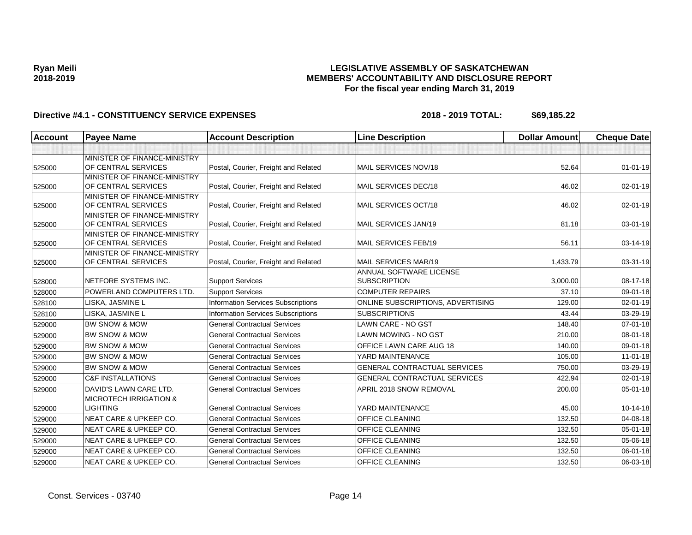## **LEGISLATIVE ASSEMBLY OF SASKATCHEWAN MEMBERS' ACCOUNTABILITY AND DISCLOSURE REPORT For the fiscal year ending March 31, 2019**

| <b>Account</b> | <b>Payee Name</b>                                   | <b>Account Description</b>                | <b>Line Description</b>                        | <b>Dollar Amount</b> | <b>Cheque Date</b> |
|----------------|-----------------------------------------------------|-------------------------------------------|------------------------------------------------|----------------------|--------------------|
|                |                                                     |                                           |                                                |                      |                    |
| 525000         | MINISTER OF FINANCE-MINISTRY<br>OF CENTRAL SERVICES | Postal, Courier, Freight and Related      | MAIL SERVICES NOV/18                           | 52.64                | $01 - 01 - 19$     |
| 525000         | MINISTER OF FINANCE-MINISTRY<br>OF CENTRAL SERVICES | Postal, Courier, Freight and Related      | MAIL SERVICES DEC/18                           | 46.02                | $02 - 01 - 19$     |
| 525000         | MINISTER OF FINANCE-MINISTRY<br>OF CENTRAL SERVICES | Postal, Courier, Freight and Related      | MAIL SERVICES OCT/18                           | 46.02                | 02-01-19           |
| 525000         | MINISTER OF FINANCE-MINISTRY<br>OF CENTRAL SERVICES | Postal, Courier, Freight and Related      | MAIL SERVICES JAN/19                           | 81.18                | 03-01-19           |
| 525000         | MINISTER OF FINANCE-MINISTRY<br>OF CENTRAL SERVICES | Postal, Courier, Freight and Related      | MAIL SERVICES FEB/19                           | 56.11                | 03-14-19           |
| 525000         | MINISTER OF FINANCE-MINISTRY<br>OF CENTRAL SERVICES | Postal, Courier, Freight and Related      | MAIL SERVICES MAR/19                           | 1,433.79             | 03-31-19           |
| 528000         | NETFORE SYSTEMS INC.                                | <b>Support Services</b>                   | ANNUAL SOFTWARE LICENSE<br><b>SUBSCRIPTION</b> | 3,000.00             | 08-17-18           |
| 528000         | POWERLAND COMPUTERS LTD.                            | <b>Support Services</b>                   | <b>COMPUTER REPAIRS</b>                        | 37.10                | 09-01-18           |
| 528100         | LISKA, JASMINE L                                    | <b>Information Services Subscriptions</b> | ONLINE SUBSCRIPTIONS, ADVERTISING              | 129.00               | 02-01-19           |
| 528100         | LISKA, JASMINE L                                    | Information Services Subscriptions        | <b>SUBSCRIPTIONS</b>                           | 43.44                | 03-29-19           |
| 529000         | <b>BW SNOW &amp; MOW</b>                            | <b>General Contractual Services</b>       | <b>LAWN CARE - NO GST</b>                      | 148.40               | $07 - 01 - 18$     |
| 529000         | <b>BW SNOW &amp; MOW</b>                            | <b>General Contractual Services</b>       | LAWN MOWING - NO GST                           | 210.00               | 08-01-18           |
| 529000         | <b>BW SNOW &amp; MOW</b>                            | <b>General Contractual Services</b>       | OFFICE LAWN CARE AUG 18                        | 140.00               | 09-01-18           |
| 529000         | <b>BW SNOW &amp; MOW</b>                            | <b>General Contractual Services</b>       | YARD MAINTENANCE                               | 105.00               | 11-01-18           |
| 529000         | <b>BW SNOW &amp; MOW</b>                            | <b>General Contractual Services</b>       | <b>GENERAL CONTRACTUAL SERVICES</b>            | 750.00               | 03-29-19           |
| 529000         | <b>C&amp;F INSTALLATIONS</b>                        | <b>General Contractual Services</b>       | GENERAL CONTRACTUAL SERVICES                   | 422.94               | 02-01-19           |
| 529000         | DAVID'S LAWN CARE LTD.                              | <b>General Contractual Services</b>       | APRIL 2018 SNOW REMOVAL                        | 200.00               | $05 - 01 - 18$     |
| 529000         | <b>MICROTECH IRRIGATION &amp;</b><br>LIGHTING       | <b>General Contractual Services</b>       | YARD MAINTENANCE                               | 45.00                | $10-14-18$         |
| 529000         | NEAT CARE & UPKEEP CO.                              | <b>General Contractual Services</b>       | <b>OFFICE CLEANING</b>                         | 132.50               | 04-08-18           |
| 529000         | NEAT CARE & UPKEEP CO.                              | <b>General Contractual Services</b>       | OFFICE CLEANING                                | 132.50               | $05 - 01 - 18$     |
| 529000         | NEAT CARE & UPKEEP CO.                              | <b>General Contractual Services</b>       | OFFICE CLEANING                                | 132.50               | 05-06-18           |
| 529000         | <b>NEAT CARE &amp; UPKEEP CO.</b>                   | <b>General Contractual Services</b>       | OFFICE CLEANING                                | 132.50               | 06-01-18           |
| 529000         | <b>NEAT CARE &amp; UPKEEP CO.</b>                   | <b>General Contractual Services</b>       | OFFICE CLEANING                                | 132.50               | 06-03-18           |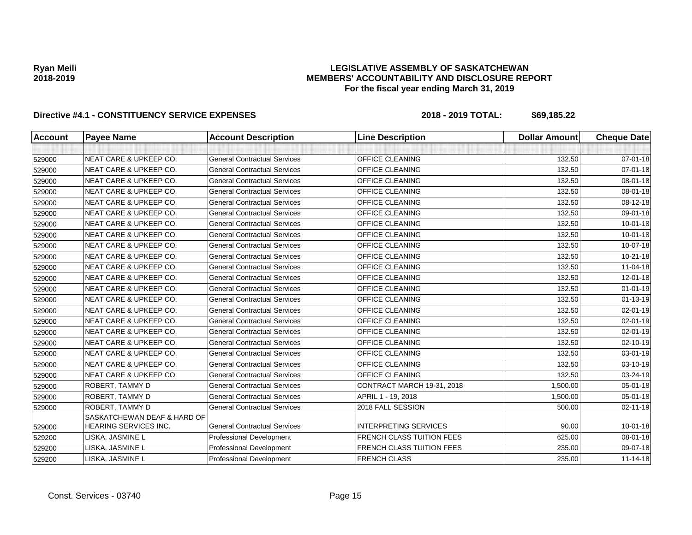## **LEGISLATIVE ASSEMBLY OF SASKATCHEWAN MEMBERS' ACCOUNTABILITY AND DISCLOSURE REPORT For the fiscal year ending March 31, 2019**

| <b>Account</b> | <b>Payee Name</b>                                    | <b>Account Description</b>          | <b>Line Description</b>          | <b>Dollar Amount</b> | <b>Cheque Date</b> |
|----------------|------------------------------------------------------|-------------------------------------|----------------------------------|----------------------|--------------------|
|                |                                                      |                                     |                                  |                      |                    |
| 529000         | <b>NEAT CARE &amp; UPKEEP CO.</b>                    | <b>General Contractual Services</b> | OFFICE CLEANING                  | 132.50               | $07 - 01 - 18$     |
| 529000         | <b>NEAT CARE &amp; UPKEEP CO.</b>                    | <b>General Contractual Services</b> | OFFICE CLEANING                  | 132.50               | $07 - 01 - 18$     |
| 529000         | <b>NEAT CARE &amp; UPKEEP CO.</b>                    | <b>General Contractual Services</b> | OFFICE CLEANING                  | 132.50               | 08-01-18           |
| 529000         | <b>NEAT CARE &amp; UPKEEP CO.</b>                    | <b>General Contractual Services</b> | OFFICE CLEANING                  | 132.50               | 08-01-18           |
| 529000         | <b>NEAT CARE &amp; UPKEEP CO.</b>                    | <b>General Contractual Services</b> | OFFICE CLEANING                  | 132.50               | 08-12-18           |
| 529000         | <b>NEAT CARE &amp; UPKEEP CO.</b>                    | <b>General Contractual Services</b> | OFFICE CLEANING                  | 132.50               | 09-01-18           |
| 529000         | <b>NEAT CARE &amp; UPKEEP CO.</b>                    | <b>General Contractual Services</b> | OFFICE CLEANING                  | 132.50               | $10 - 01 - 18$     |
| 529000         | <b>NEAT CARE &amp; UPKEEP CO.</b>                    | <b>General Contractual Services</b> | OFFICE CLEANING                  | 132.50               | $10 - 01 - 18$     |
| 529000         | <b>NEAT CARE &amp; UPKEEP CO.</b>                    | <b>General Contractual Services</b> | OFFICE CLEANING                  | 132.50               | 10-07-18           |
| 529000         | <b>NEAT CARE &amp; UPKEEP CO.</b>                    | <b>General Contractual Services</b> | OFFICE CLEANING                  | 132.50               | $10 - 21 - 18$     |
| 529000         | <b>NEAT CARE &amp; UPKEEP CO.</b>                    | <b>General Contractual Services</b> | OFFICE CLEANING                  | 132.50               | $11 - 04 - 18$     |
| 529000         | <b>NEAT CARE &amp; UPKEEP CO.</b>                    | <b>General Contractual Services</b> | <b>OFFICE CLEANING</b>           | 132.50               | 12-01-18           |
| 529000         | <b>NEAT CARE &amp; UPKEEP CO.</b>                    | <b>General Contractual Services</b> | OFFICE CLEANING                  | 132.50               | $01 - 01 - 19$     |
| 529000         | <b>NEAT CARE &amp; UPKEEP CO.</b>                    | <b>General Contractual Services</b> | <b>OFFICE CLEANING</b>           | 132.50               | $01 - 13 - 19$     |
| 529000         | <b>NEAT CARE &amp; UPKEEP CO.</b>                    | <b>General Contractual Services</b> | OFFICE CLEANING                  | 132.50               | 02-01-19           |
| 529000         | <b>NEAT CARE &amp; UPKEEP CO.</b>                    | <b>General Contractual Services</b> | <b>OFFICE CLEANING</b>           | 132.50               | $02 - 01 - 19$     |
| 529000         | <b>NEAT CARE &amp; UPKEEP CO.</b>                    | <b>General Contractual Services</b> | OFFICE CLEANING                  | 132.50               | 02-01-19           |
| 529000         | NEAT CARE & UPKEEP CO.                               | <b>General Contractual Services</b> | OFFICE CLEANING                  | 132.50               | 02-10-19           |
| 529000         | <b>NEAT CARE &amp; UPKEEP CO.</b>                    | <b>General Contractual Services</b> | <b>OFFICE CLEANING</b>           | 132.50               | 03-01-19           |
| 529000         | NEAT CARE & UPKEEP CO.                               | <b>General Contractual Services</b> | OFFICE CLEANING                  | 132.50               | 03-10-19           |
| 529000         | <b>NEAT CARE &amp; UPKEEP CO.</b>                    | <b>General Contractual Services</b> | OFFICE CLEANING                  | 132.50               | 03-24-19           |
| 529000         | ROBERT, TAMMY D                                      | <b>General Contractual Services</b> | CONTRACT MARCH 19-31, 2018       | 1,500.00             | 05-01-18           |
| 529000         | ROBERT, TAMMY D                                      | <b>General Contractual Services</b> | APRIL 1 - 19, 2018               | 1,500.00             | $05 - 01 - 18$     |
| 529000         | ROBERT, TAMMY D                                      | <b>General Contractual Services</b> | 2018 FALL SESSION                | 500.00               | $02 - 11 - 19$     |
| 529000         | SASKATCHEWAN DEAF & HARD OF<br>HEARING SERVICES INC. | <b>General Contractual Services</b> | <b>INTERPRETING SERVICES</b>     | 90.00                | $10 - 01 - 18$     |
| 529200         | LISKA, JASMINE L                                     | Professional Development            | <b>FRENCH CLASS TUITION FEES</b> | 625.00               | 08-01-18           |
| 529200         | LISKA, JASMINE L                                     | Professional Development            | <b>FRENCH CLASS TUITION FEES</b> | 235.00               | 09-07-18           |
| 529200         | LISKA, JASMINE L                                     | Professional Development            | <b>FRENCH CLASS</b>              | 235.00               | $11 - 14 - 18$     |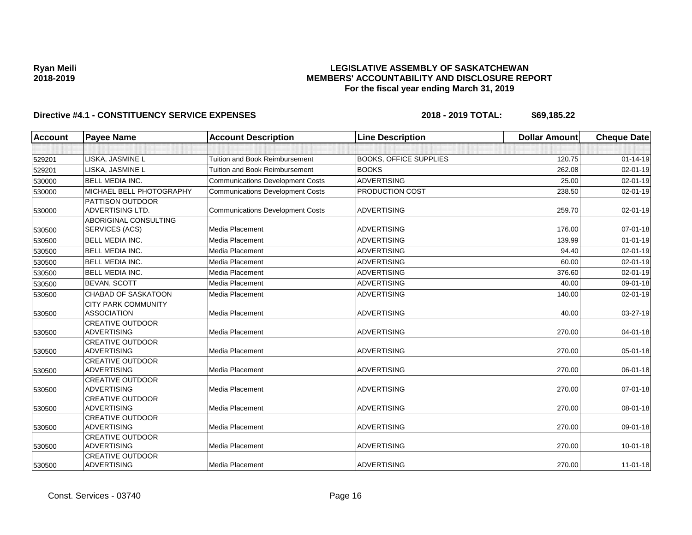## **LEGISLATIVE ASSEMBLY OF SASKATCHEWAN MEMBERS' ACCOUNTABILITY AND DISCLOSURE REPORT For the fiscal year ending March 31, 2019**

| <b>Account</b> | <b>Payee Name</b>                                | <b>Account Description</b>              | <b>Line Description</b>       | <b>Dollar Amount</b> | <b>Cheque Date</b> |
|----------------|--------------------------------------------------|-----------------------------------------|-------------------------------|----------------------|--------------------|
|                |                                                  |                                         |                               |                      |                    |
| 529201         | LISKA, JASMINE L                                 | <b>Tuition and Book Reimbursement</b>   | <b>BOOKS. OFFICE SUPPLIES</b> | 120.75               | $01 - 14 - 19$     |
| 529201         | LISKA, JASMINE L                                 | <b>Tuition and Book Reimbursement</b>   | <b>BOOKS</b>                  | 262.08               | 02-01-19           |
| 530000         | <b>BELL MEDIA INC.</b>                           | <b>Communications Development Costs</b> | <b>ADVERTISING</b>            | 25.00                | $02 - 01 - 19$     |
| 530000         | MICHAEL BELL PHOTOGRAPHY                         | <b>Communications Development Costs</b> | PRODUCTION COST               | 238.50               | $02 - 01 - 19$     |
| 530000         | PATTISON OUTDOOR<br><b>ADVERTISING LTD.</b>      | <b>Communications Development Costs</b> | <b>ADVERTISING</b>            | 259.70               | 02-01-19           |
| 530500         | ABORIGINAL CONSULTING<br>SERVICES (ACS)          | Media Placement                         | <b>ADVERTISING</b>            | 176.00               | $07 - 01 - 18$     |
| 530500         | <b>BELL MEDIA INC.</b>                           | Media Placement                         | <b>ADVERTISING</b>            | 139.99               | $01 - 01 - 19$     |
| 530500         | <b>BELL MEDIA INC.</b>                           | Media Placement                         | ADVERTISING                   | 94.40                | 02-01-19           |
| 530500         | <b>BELL MEDIA INC.</b>                           | Media Placement                         | <b>ADVERTISING</b>            | 60.00                | $02 - 01 - 19$     |
| 530500         | <b>BELL MEDIA INC.</b>                           | Media Placement                         | <b>ADVERTISING</b>            | 376.60               | $02 - 01 - 19$     |
| 530500         | <b>BEVAN, SCOTT</b>                              | Media Placement                         | ADVERTISING                   | 40.00                | 09-01-18           |
| 530500         | <b>CHABAD OF SASKATOON</b>                       | Media Placement                         | <b>ADVERTISING</b>            | 140.00               | $02 - 01 - 19$     |
| 530500         | <b>CITY PARK COMMUNITY</b><br><b>ASSOCIATION</b> | Media Placement                         | <b>ADVERTISING</b>            | 40.00                | 03-27-19           |
| 530500         | <b>CREATIVE OUTDOOR</b><br><b>ADVERTISING</b>    | Media Placement                         | <b>ADVERTISING</b>            | 270.00               | $04 - 01 - 18$     |
| 530500         | <b>CREATIVE OUTDOOR</b><br><b>ADVERTISING</b>    | Media Placement                         | <b>ADVERTISING</b>            | 270.00               | 05-01-18           |
| 530500         | <b>CREATIVE OUTDOOR</b><br><b>ADVERTISING</b>    | Media Placement                         | <b>ADVERTISING</b>            | 270.00               | 06-01-18           |
| 530500         | <b>CREATIVE OUTDOOR</b><br><b>ADVERTISING</b>    | Media Placement                         | <b>ADVERTISING</b>            | 270.00               | $07 - 01 - 18$     |
| 530500         | <b>CREATIVE OUTDOOR</b><br><b>ADVERTISING</b>    | Media Placement                         | <b>ADVERTISING</b>            | 270.00               | 08-01-18           |
| 530500         | <b>CREATIVE OUTDOOR</b><br>ADVERTISING           | Media Placement                         | <b>ADVERTISING</b>            | 270.00               | 09-01-18           |
| 530500         | <b>CREATIVE OUTDOOR</b><br><b>ADVERTISING</b>    | Media Placement                         | <b>ADVERTISING</b>            | 270.00               | $10 - 01 - 18$     |
| 530500         | <b>CREATIVE OUTDOOR</b><br><b>ADVERTISING</b>    | Media Placement                         | <b>ADVERTISING</b>            | 270.00               | $11 - 01 - 18$     |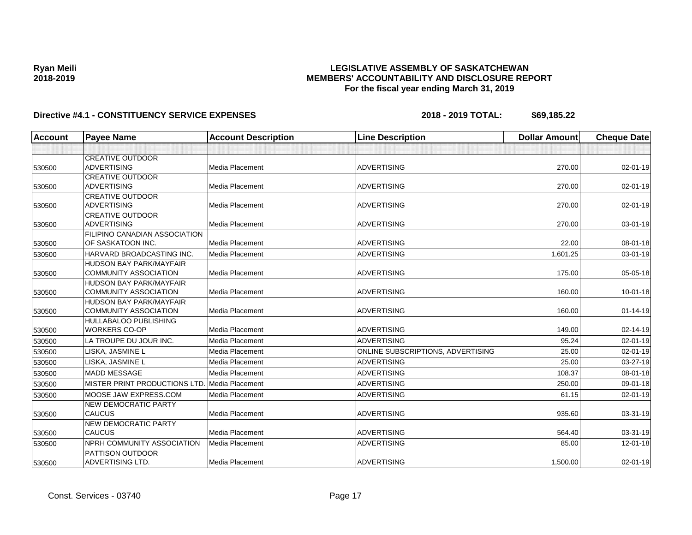## **LEGISLATIVE ASSEMBLY OF SASKATCHEWAN MEMBERS' ACCOUNTABILITY AND DISCLOSURE REPORT For the fiscal year ending March 31, 2019**

| <b>Account</b> | <b>Payee Name</b>                    | <b>Account Description</b> | <b>Line Description</b>           | <b>Dollar Amount</b> | <b>Cheque Date</b> |
|----------------|--------------------------------------|----------------------------|-----------------------------------|----------------------|--------------------|
|                |                                      |                            |                                   |                      |                    |
|                | <b>CREATIVE OUTDOOR</b>              |                            |                                   |                      |                    |
| 530500         | <b>ADVERTISING</b>                   | Media Placement            | <b>ADVERTISING</b>                | 270.00               | $02 - 01 - 19$     |
|                | <b>CREATIVE OUTDOOR</b>              |                            |                                   |                      |                    |
| 530500         | <b>ADVERTISING</b>                   | <b>Media Placement</b>     | <b>ADVERTISING</b>                | 270.00               | $02 - 01 - 19$     |
|                | <b>CREATIVE OUTDOOR</b>              |                            |                                   |                      |                    |
| 530500         | <b>ADVERTISING</b>                   | <b>Media Placement</b>     | <b>ADVERTISING</b>                | 270.00               | 02-01-19           |
|                | <b>CREATIVE OUTDOOR</b>              |                            |                                   |                      |                    |
| 530500         | <b>ADVERTISING</b>                   | Media Placement            | <b>ADVERTISING</b>                | 270.00               | 03-01-19           |
|                | <b>FILIPINO CANADIAN ASSOCIATION</b> |                            |                                   |                      |                    |
| 530500         | OF SASKATOON INC.                    | <b>Media Placement</b>     | <b>ADVERTISING</b>                | 22.00                | 08-01-18           |
| 530500         | HARVARD BROADCASTING INC.            | Media Placement            | <b>ADVERTISING</b>                | 1.601.25             | 03-01-19           |
|                | <b>HUDSON BAY PARK/MAYFAIR</b>       |                            |                                   |                      |                    |
| 530500         | <b>COMMUNITY ASSOCIATION</b>         | <b>Media Placement</b>     | <b>ADVERTISING</b>                | 175.00               | 05-05-18           |
|                | <b>HUDSON BAY PARK/MAYFAIR</b>       |                            |                                   |                      |                    |
| 530500         | <b>COMMUNITY ASSOCIATION</b>         | Media Placement            | <b>ADVERTISING</b>                | 160.00               | $10 - 01 - 18$     |
|                | <b>HUDSON BAY PARK/MAYFAIR</b>       |                            |                                   |                      |                    |
| 530500         | <b>COMMUNITY ASSOCIATION</b>         | Media Placement            | <b>ADVERTISING</b>                | 160.00               | $01 - 14 - 19$     |
|                | <b>HULLABALOO PUBLISHING</b>         |                            |                                   |                      |                    |
| 530500         | <b>WORKERS CO-OP</b>                 | Media Placement            | <b>ADVERTISING</b>                | 149.00               | 02-14-19           |
| 530500         | LA TROUPE DU JOUR INC.               | <b>Media Placement</b>     | <b>ADVERTISING</b>                | 95.24                | 02-01-19           |
| 530500         | LISKA, JASMINE L                     | Media Placement            | ONLINE SUBSCRIPTIONS, ADVERTISING | 25.00                | $02 - 01 - 19$     |
| 530500         | LISKA, JASMINE L                     | <b>Media Placement</b>     | <b>ADVERTISING</b>                | 25.00                | 03-27-19           |
| 530500         | <b>MADD MESSAGE</b>                  | Media Placement            | <b>ADVERTISING</b>                | 108.37               | 08-01-18           |
| 530500         | MISTER PRINT PRODUCTIONS LTD.        | Media Placement            | <b>ADVERTISING</b>                | 250.00               | 09-01-18           |
| 530500         | MOOSE JAW EXPRESS.COM                | <b>Media Placement</b>     | <b>ADVERTISING</b>                | 61.15                | $02 - 01 - 19$     |
|                | <b>NEW DEMOCRATIC PARTY</b>          |                            |                                   |                      |                    |
| 530500         | <b>CAUCUS</b>                        | <b>Media Placement</b>     | <b>ADVERTISING</b>                | 935.60               | 03-31-19           |
|                | <b>NEW DEMOCRATIC PARTY</b>          |                            |                                   |                      |                    |
| 530500         | <b>CAUCUS</b>                        | <b>Media Placement</b>     | <b>ADVERTISING</b>                | 564.40               | 03-31-19           |
| 530500         | NPRH COMMUNITY ASSOCIATION           | <b>Media Placement</b>     | <b>ADVERTISING</b>                | 85.00                | 12-01-18           |
|                | <b>PATTISON OUTDOOR</b>              |                            |                                   |                      |                    |
| 530500         | ADVERTISING LTD.                     | <b>Media Placement</b>     | <b>ADVERTISING</b>                | 1,500.00             | 02-01-19           |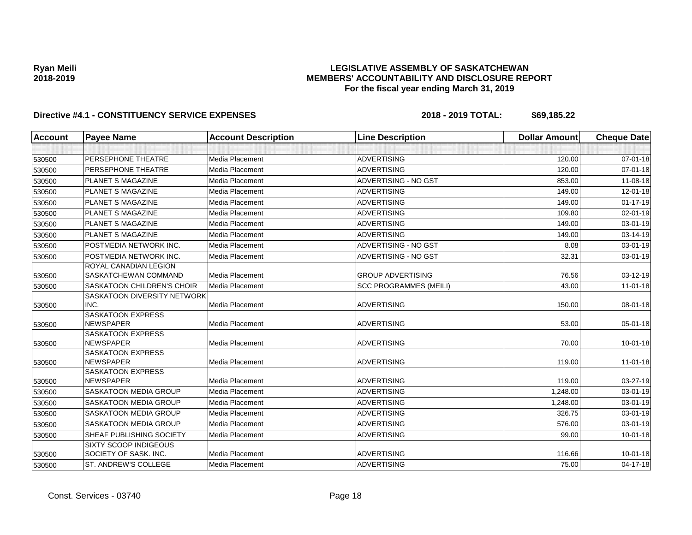## **LEGISLATIVE ASSEMBLY OF SASKATCHEWAN MEMBERS' ACCOUNTABILITY AND DISCLOSURE REPORT For the fiscal year ending March 31, 2019**

| <b>Account</b> | <b>Payee Name</b>                                     | <b>Account Description</b> | <b>Line Description</b>       | <b>Dollar Amount</b> | <b>Cheque Date</b> |
|----------------|-------------------------------------------------------|----------------------------|-------------------------------|----------------------|--------------------|
|                |                                                       |                            |                               |                      |                    |
| 530500         | PERSEPHONE THEATRE                                    | Media Placement            | <b>ADVERTISING</b>            | 120.00               | $07 - 01 - 18$     |
| 530500         | PERSEPHONE THEATRE                                    | Media Placement            | <b>ADVERTISING</b>            | 120.00               | 07-01-18           |
| 530500         | <b>PLANET S MAGAZINE</b>                              | Media Placement            | ADVERTISING - NO GST          | 853.00               | 11-08-18           |
| 530500         | <b>PLANET S MAGAZINE</b>                              | Media Placement            | <b>ADVERTISING</b>            | 149.00               | 12-01-18           |
| 530500         | <b>PLANET S MAGAZINE</b>                              | Media Placement            | <b>ADVERTISING</b>            | 149.00               | $01 - 17 - 19$     |
| 530500         | <b>PLANET S MAGAZINE</b>                              | Media Placement            | ADVERTISING                   | 109.80               | 02-01-19           |
| 530500         | <b>PLANET S MAGAZINE</b>                              | Media Placement            | <b>ADVERTISING</b>            | 149.00               | 03-01-19           |
| 530500         | <b>PLANET S MAGAZINE</b>                              | Media Placement            | <b>ADVERTISING</b>            | 149.00               | 03-14-19           |
| 530500         | POSTMEDIA NETWORK INC.                                | Media Placement            | ADVERTISING - NO GST          | 8.08                 | 03-01-19           |
| 530500         | POSTMEDIA NETWORK INC.                                | Media Placement            | ADVERTISING - NO GST          | 32.31                | 03-01-19           |
|                | ROYAL CANADIAN LEGION<br>SASKATCHEWAN COMMAND         | Media Placement            | <b>GROUP ADVERTISING</b>      | 76.56                | 03-12-19           |
| 530500         | <b>SASKATOON CHILDREN'S CHOIR</b>                     | Media Placement            |                               | 43.00                | $11-01-18$         |
| 530500         | SASKATOON DIVERSITY NETWORK                           |                            | <b>SCC PROGRAMMES (MEILI)</b> |                      |                    |
| 530500         | INC.                                                  | Media Placement            | <b>ADVERTISING</b>            | 150.00               | 08-01-18           |
| 530500         | <b>SASKATOON EXPRESS</b><br><b>NEWSPAPER</b>          | Media Placement            | <b>ADVERTISING</b>            | 53.00                | $05 - 01 - 18$     |
| 530500         | <b>SASKATOON EXPRESS</b><br><b>NEWSPAPER</b>          | Media Placement            | <b>ADVERTISING</b>            | 70.00                | $10 - 01 - 18$     |
| 530500         | <b>SASKATOON EXPRESS</b><br><b>NEWSPAPER</b>          | Media Placement            | <b>ADVERTISING</b>            | 119.00               | $11-01-18$         |
| 530500         | <b>SASKATOON EXPRESS</b><br><b>NEWSPAPER</b>          | Media Placement            | <b>ADVERTISING</b>            | 119.00               | 03-27-19           |
| 530500         | <b>SASKATOON MEDIA GROUP</b>                          | Media Placement            | <b>ADVERTISING</b>            | 1,248.00             | 03-01-19           |
| 530500         | <b>SASKATOON MEDIA GROUP</b>                          | Media Placement            | <b>ADVERTISING</b>            | 1,248.00             | 03-01-19           |
| 530500         | <b>SASKATOON MEDIA GROUP</b>                          | Media Placement            | <b>ADVERTISING</b>            | 326.75               | 03-01-19           |
| 530500         | <b>SASKATOON MEDIA GROUP</b>                          | Media Placement            | ADVERTISING                   | 576.00               | 03-01-19           |
| 530500         | SHEAF PUBLISHING SOCIETY                              | Media Placement            | <b>ADVERTISING</b>            | 99.00                | $10 - 01 - 18$     |
| 530500         | <b>SIXTY SCOOP INDIGEOUS</b><br>SOCIETY OF SASK. INC. | Media Placement            | <b>ADVERTISING</b>            | 116.66               | $10 - 01 - 18$     |
| 530500         | ST. ANDREW'S COLLEGE                                  | Media Placement            | <b>ADVERTISING</b>            | 75.00                | 04-17-18           |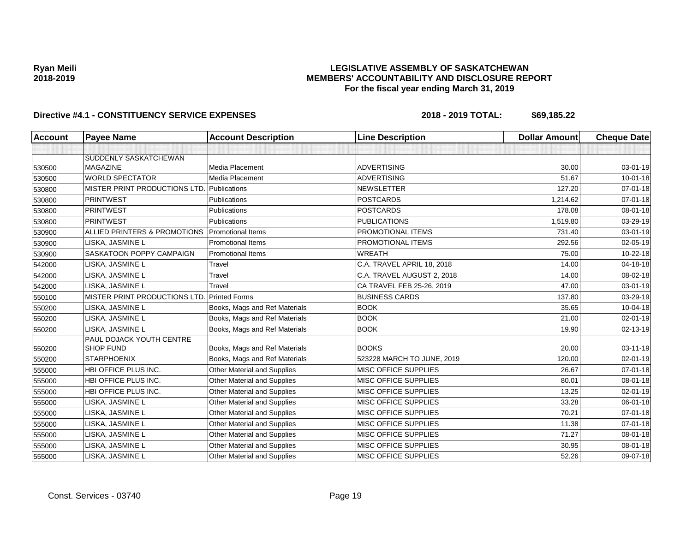## **LEGISLATIVE ASSEMBLY OF SASKATCHEWAN MEMBERS' ACCOUNTABILITY AND DISCLOSURE REPORT For the fiscal year ending March 31, 2019**

| Account | <b>Payee Name</b>                                   | <b>Account Description</b>         | <b>Line Description</b>     | <b>Dollar Amount</b> | <b>Cheque Date</b> |
|---------|-----------------------------------------------------|------------------------------------|-----------------------------|----------------------|--------------------|
|         |                                                     |                                    |                             |                      |                    |
|         | SUDDENLY SASKATCHEWAN                               |                                    |                             |                      |                    |
| 530500  | <b>MAGAZINE</b>                                     | Media Placement                    | <b>ADVERTISING</b>          | 30.00                | $03-01-19$         |
| 530500  | <b>WORLD SPECTATOR</b>                              | Media Placement                    | <b>ADVERTISING</b>          | 51.67                | $10 - 01 - 18$     |
| 530800  | MISTER PRINT PRODUCTIONS LTD. Publications          |                                    | <b>NEWSLETTER</b>           | 127.20               | $07 - 01 - 18$     |
| 530800  | <b>PRINTWEST</b>                                    | <b>Publications</b>                | <b>POSTCARDS</b>            | 1,214.62             | $07 - 01 - 18$     |
| 530800  | <b>PRINTWEST</b>                                    | Publications                       | <b>POSTCARDS</b>            | 178.08               | 08-01-18           |
| 530800  | <b>PRINTWEST</b>                                    | Publications                       | <b>PUBLICATIONS</b>         | 1,519.80             | 03-29-19           |
| 530900  | ALLIED PRINTERS & PROMOTIONS                        | <b>Promotional Items</b>           | <b>PROMOTIONAL ITEMS</b>    | 731.40               | 03-01-19           |
| 530900  | LISKA, JASMINE L                                    | <b>Promotional Items</b>           | <b>PROMOTIONAL ITEMS</b>    | 292.56               | 02-05-19           |
| 530900  | SASKATOON POPPY CAMPAIGN                            | <b>Promotional Items</b>           | <b>WREATH</b>               | 75.00                | 10-22-18           |
| 542000  | LISKA, JASMINE L                                    | Travel                             | C.A. TRAVEL APRIL 18, 2018  | 14.00                | 04-18-18           |
| 542000  | LISKA, JASMINE L                                    | Travel                             | C.A. TRAVEL AUGUST 2, 2018  | 14.00                | 08-02-18           |
| 542000  | LISKA, JASMINE L                                    | Travel                             | CA TRAVEL FEB 25-26, 2019   | 47.00                | $03 - 01 - 19$     |
| 550100  | MISTER PRINT PRODUCTIONS LTD.                       | <b>Printed Forms</b>               | <b>BUSINESS CARDS</b>       | 137.80               | 03-29-19           |
| 550200  | LISKA, JASMINE L                                    | Books, Mags and Ref Materials      | <b>BOOK</b>                 | 35.65                | 10-04-18           |
| 550200  | LISKA, JASMINE L                                    | Books, Mags and Ref Materials      | <b>BOOK</b>                 | 21.00                | $02 - 01 - 19$     |
| 550200  | LISKA, JASMINE L                                    | Books, Mags and Ref Materials      | <b>BOOK</b>                 | 19.90                | 02-13-19           |
|         | <b>PAUL DOJACK YOUTH CENTRE</b><br><b>SHOP FUND</b> | Books, Mags and Ref Materials      | <b>BOOKS</b>                | 20.00                | $03 - 11 - 19$     |
| 550200  |                                                     |                                    |                             |                      |                    |
| 550200  | <b>STARPHOENIX</b>                                  | Books, Mags and Ref Materials      | 523228 MARCH TO JUNE, 2019  | 120.00               | $02 - 01 - 19$     |
| 555000  | HBI OFFICE PLUS INC.                                | Other Material and Supplies        | MISC OFFICE SUPPLIES        | 26.67                | $07 - 01 - 18$     |
| 555000  | HBI OFFICE PLUS INC.                                | Other Material and Supplies        | <b>MISC OFFICE SUPPLIES</b> | 80.01                | 08-01-18           |
| 555000  | HBI OFFICE PLUS INC.                                | <b>Other Material and Supplies</b> | <b>MISC OFFICE SUPPLIES</b> | 13.25                | $02 - 01 - 19$     |
| 555000  | LISKA, JASMINE L                                    | Other Material and Supplies        | MISC OFFICE SUPPLIES        | 33.28                | 06-01-18           |
| 555000  | LISKA, JASMINE L                                    | <b>Other Material and Supplies</b> | MISC OFFICE SUPPLIES        | 70.21                | $07 - 01 - 18$     |
| 555000  | LISKA, JASMINE L                                    | Other Material and Supplies        | MISC OFFICE SUPPLIES        | 11.38                | $07 - 01 - 18$     |
| 555000  | LISKA, JASMINE L                                    | Other Material and Supplies        | <b>MISC OFFICE SUPPLIES</b> | 71.27                | 08-01-18           |
| 555000  | LISKA, JASMINE L                                    | Other Material and Supplies        | MISC OFFICE SUPPLIES        | 30.95                | 08-01-18           |
| 555000  | LISKA, JASMINE L                                    | Other Material and Supplies        | MISC OFFICE SUPPLIES        | 52.26                | $09-07-18$         |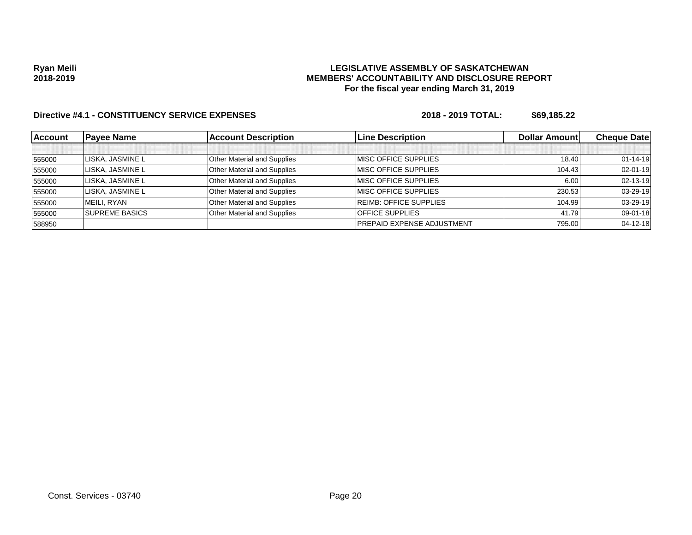### **LEGISLATIVE ASSEMBLY OF SASKATCHEWAN MEMBERS' ACCOUNTABILITY AND DISCLOSURE REPORT For the fiscal year ending March 31, 2019**

| <b>Account</b> | <b>Pavee Name</b>     | <b>Account Description</b>         | <b>ILine Description</b>          | <b>Dollar Amountl</b> | <b>Cheque Datel</b> |
|----------------|-----------------------|------------------------------------|-----------------------------------|-----------------------|---------------------|
|                |                       |                                    |                                   |                       |                     |
| 555000         | LISKA, JASMINE L      | <b>Other Material and Supplies</b> | <b>IMISC OFFICE SUPPLIES</b>      | 18.40                 | $01 - 14 - 19$      |
| 555000         | LISKA, JASMINE L      | Other Material and Supplies        | <b>IMISC OFFICE SUPPLIES</b>      | 104.43                | $02 - 01 - 19$      |
| 555000         | LISKA, JASMINE L      | <b>Other Material and Supplies</b> | <b>IMISC OFFICE SUPPLIES</b>      | 6.00                  | 02-13-19            |
| 555000         | LISKA, JASMINE L      | <b>Other Material and Supplies</b> | <b>IMISC OFFICE SUPPLIES</b>      | 230.53                | 03-29-19            |
| 555000         | MEILI. RYAN           | <b>Other Material and Supplies</b> | <b>REIMB: OFFICE SUPPLIES</b>     | 104.99                | 03-29-19            |
| 555000         | <b>SUPREME BASICS</b> | <b>Other Material and Supplies</b> | <b>OFFICE SUPPLIES</b>            | 41.79                 | 09-01-18            |
| 588950         |                       |                                    | <b>PREPAID EXPENSE ADJUSTMENT</b> | 795.00                | $04 - 12 - 18$      |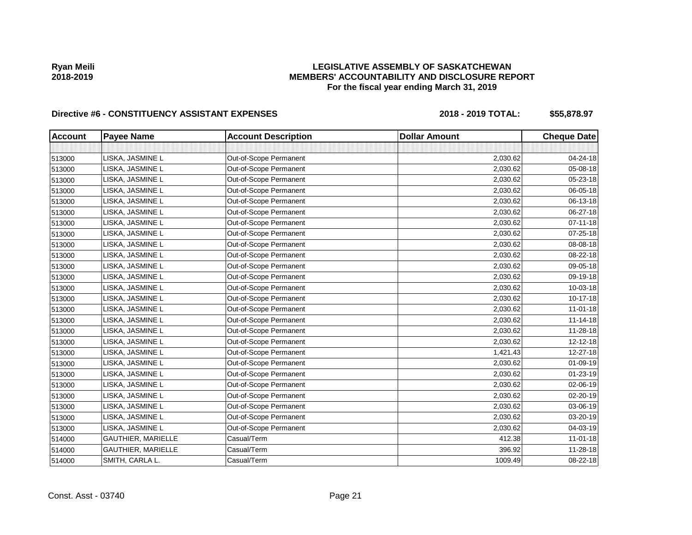## **LEGISLATIVE ASSEMBLY OF SASKATCHEWAN MEMBERS' ACCOUNTABILITY AND DISCLOSURE REPORT For the fiscal year ending March 31, 2019**

| <b>Account</b> | <b>Payee Name</b>  | <b>Account Description</b> | <b>Dollar Amount</b> | <b>Cheque Date</b> |
|----------------|--------------------|----------------------------|----------------------|--------------------|
|                |                    |                            |                      |                    |
| 513000         | LISKA, JASMINE L   | Out-of-Scope Permanent     | 2,030.62             | 04-24-18           |
| 513000         | LISKA, JASMINE L   | Out-of-Scope Permanent     | 2,030.62             | 05-08-18           |
| 513000         | LISKA, JASMINE L   | Out-of-Scope Permanent     | 2,030.62             | 05-23-18           |
| 513000         | LISKA, JASMINE L   | Out-of-Scope Permanent     | 2,030.62             | 06-05-18           |
| 513000         | LISKA, JASMINE L   | Out-of-Scope Permanent     | 2,030.62             | 06-13-18           |
| 513000         | LISKA, JASMINE L   | Out-of-Scope Permanent     | 2,030.62             | 06-27-18           |
| 513000         | LISKA, JASMINE L   | Out-of-Scope Permanent     | 2,030.62             | $07 - 11 - 18$     |
| 513000         | LISKA, JASMINE L   | Out-of-Scope Permanent     | 2,030.62             | 07-25-18           |
| 513000         | LISKA, JASMINE L   | Out-of-Scope Permanent     | 2,030.62             | 08-08-18           |
| 513000         | LISKA, JASMINE L   | Out-of-Scope Permanent     | 2,030.62             | 08-22-18           |
| 513000         | LISKA, JASMINE L   | Out-of-Scope Permanent     | 2,030.62             | 09-05-18           |
| 513000         | LISKA, JASMINE L   | Out-of-Scope Permanent     | 2,030.62             | 09-19-18           |
| 513000         | LISKA, JASMINE L   | Out-of-Scope Permanent     | 2,030.62             | 10-03-18           |
| 513000         | LISKA, JASMINE L   | Out-of-Scope Permanent     | 2,030.62             | 10-17-18           |
| 513000         | LISKA, JASMINE L   | Out-of-Scope Permanent     | 2,030.62             | $11 - 01 - 18$     |
| 513000         | LISKA, JASMINE L   | Out-of-Scope Permanent     | 2,030.62             | $11 - 14 - 18$     |
| 513000         | LISKA, JASMINE L   | Out-of-Scope Permanent     | 2,030.62             | 11-28-18           |
| 513000         | LISKA, JASMINE L   | Out-of-Scope Permanent     | 2,030.62             | 12-12-18           |
| 513000         | LISKA, JASMINE L   | Out-of-Scope Permanent     | 1,421.43             | 12-27-18           |
| 513000         | LISKA, JASMINE L   | Out-of-Scope Permanent     | 2,030.62             | 01-09-19           |
| 513000         | LISKA, JASMINE L   | Out-of-Scope Permanent     | 2,030.62             | $01 - 23 - 19$     |
| 513000         | LISKA, JASMINE L   | Out-of-Scope Permanent     | 2,030.62             | 02-06-19           |
| 513000         | LISKA, JASMINE L   | Out-of-Scope Permanent     | 2,030.62             | 02-20-19           |
| 513000         | LISKA, JASMINE L   | Out-of-Scope Permanent     | 2,030.62             | 03-06-19           |
| 513000         | LISKA, JASMINE L   | Out-of-Scope Permanent     | 2,030.62             | 03-20-19           |
| 513000         | LISKA, JASMINE L   | Out-of-Scope Permanent     | 2,030.62             | 04-03-19           |
| 514000         | GAUTHIER, MARIELLE | Casual/Term                | 412.38               | $11 - 01 - 18$     |
| 514000         | GAUTHIER, MARIELLE | Casual/Term                | 396.92               | 11-28-18           |
| 514000         | SMITH, CARLA L.    | Casual/Term                | 1009.49              | 08-22-18           |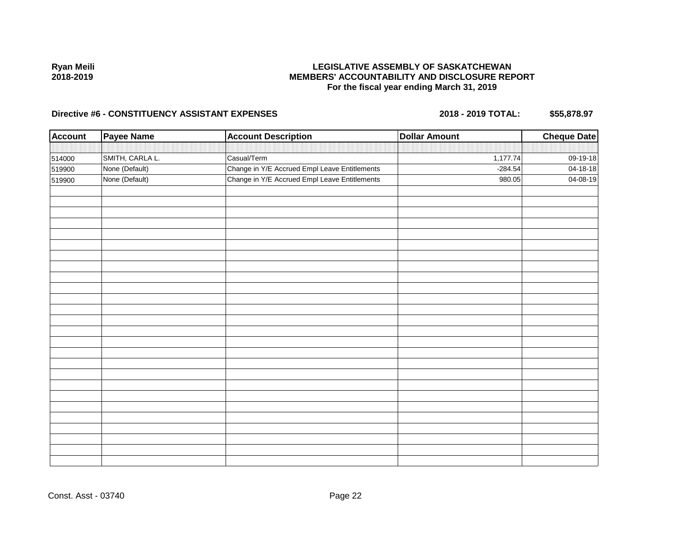## **LEGISLATIVE ASSEMBLY OF SASKATCHEWAN MEMBERS' ACCOUNTABILITY AND DISCLOSURE REPORT For the fiscal year ending March 31, 2019**

| Account | <b>Payee Name</b> | <b>Account Description</b>                    | <b>Dollar Amount</b> | <b>Cheque Date</b> |
|---------|-------------------|-----------------------------------------------|----------------------|--------------------|
|         |                   |                                               |                      |                    |
| 514000  | SMITH, CARLA L.   | Casual/Term                                   | 1,177.74             | 09-19-18           |
| 519900  | None (Default)    | Change in Y/E Accrued Empl Leave Entitlements | $-284.54$            | 04-18-18           |
| 519900  | None (Default)    | Change in Y/E Accrued Empl Leave Entitlements | 980.05               | 04-08-19           |
|         |                   |                                               |                      |                    |
|         |                   |                                               |                      |                    |
|         |                   |                                               |                      |                    |
|         |                   |                                               |                      |                    |
|         |                   |                                               |                      |                    |
|         |                   |                                               |                      |                    |
|         |                   |                                               |                      |                    |
|         |                   |                                               |                      |                    |
|         |                   |                                               |                      |                    |
|         |                   |                                               |                      |                    |
|         |                   |                                               |                      |                    |
|         |                   |                                               |                      |                    |
|         |                   |                                               |                      |                    |
|         |                   |                                               |                      |                    |
|         |                   |                                               |                      |                    |
|         |                   |                                               |                      |                    |
|         |                   |                                               |                      |                    |
|         |                   |                                               |                      |                    |
|         |                   |                                               |                      |                    |
|         |                   |                                               |                      |                    |
|         |                   |                                               |                      |                    |
|         |                   |                                               |                      |                    |
|         |                   |                                               |                      |                    |
|         |                   |                                               |                      |                    |
|         |                   |                                               |                      |                    |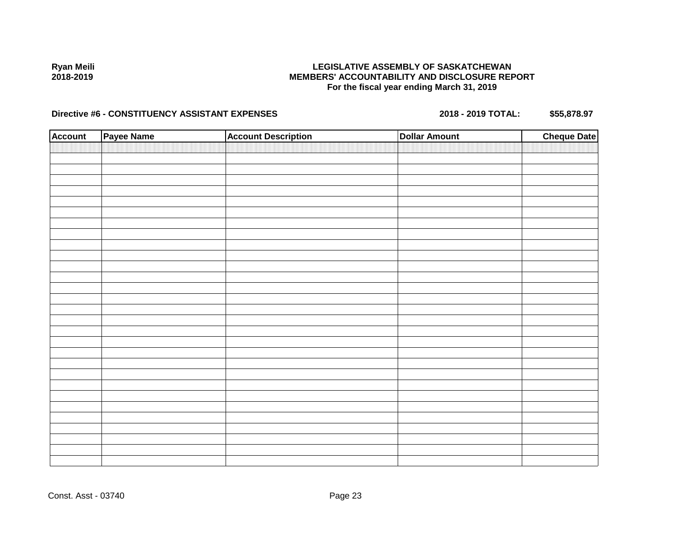## **LEGISLATIVE ASSEMBLY OF SASKATCHEWAN MEMBERS' ACCOUNTABILITY AND DISCLOSURE REPORT For the fiscal year ending March 31, 2019**

| <b>Account</b> | Payee Name | <b>Account Description</b> | <b>Dollar Amount</b> | <b>Cheque Date</b> |
|----------------|------------|----------------------------|----------------------|--------------------|
|                |            |                            |                      |                    |
|                |            |                            |                      |                    |
|                |            |                            |                      |                    |
|                |            |                            |                      |                    |
|                |            |                            |                      |                    |
|                |            |                            |                      |                    |
|                |            |                            |                      |                    |
|                |            |                            |                      |                    |
|                |            |                            |                      |                    |
|                |            |                            |                      |                    |
|                |            |                            |                      |                    |
|                |            |                            |                      |                    |
|                |            |                            |                      |                    |
|                |            |                            |                      |                    |
|                |            |                            |                      |                    |
|                |            |                            |                      |                    |
|                |            |                            |                      |                    |
|                |            |                            |                      |                    |
|                |            |                            |                      |                    |
|                |            |                            |                      |                    |
|                |            |                            |                      |                    |
|                |            |                            |                      |                    |
|                |            |                            |                      |                    |
|                |            |                            |                      |                    |
|                |            |                            |                      |                    |
|                |            |                            |                      |                    |
|                |            |                            |                      |                    |
|                |            |                            |                      |                    |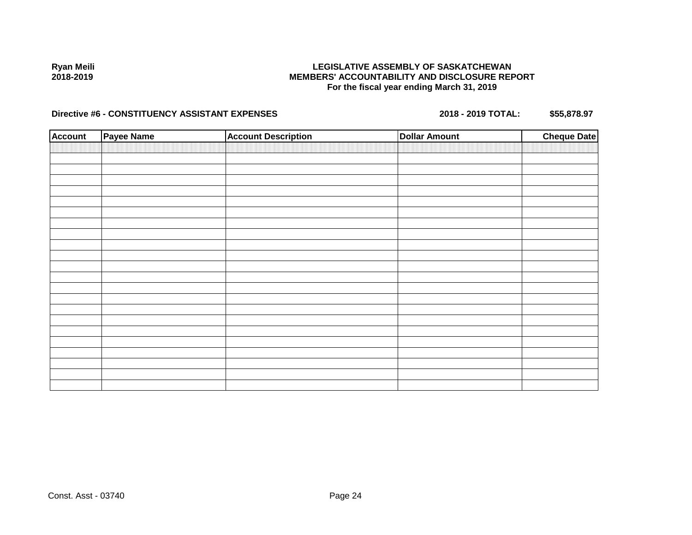## **LEGISLATIVE ASSEMBLY OF SASKATCHEWAN MEMBERS' ACCOUNTABILITY AND DISCLOSURE REPORT For the fiscal year ending March 31, 2019**

| <b>Account</b> | Payee Name | <b>Account Description</b> | <b>Dollar Amount</b> | <b>Cheque Date</b> |
|----------------|------------|----------------------------|----------------------|--------------------|
|                |            |                            |                      |                    |
|                |            |                            |                      |                    |
|                |            |                            |                      |                    |
|                |            |                            |                      |                    |
|                |            |                            |                      |                    |
|                |            |                            |                      |                    |
|                |            |                            |                      |                    |
|                |            |                            |                      |                    |
|                |            |                            |                      |                    |
|                |            |                            |                      |                    |
|                |            |                            |                      |                    |
|                |            |                            |                      |                    |
|                |            |                            |                      |                    |
|                |            |                            |                      |                    |
|                |            |                            |                      |                    |
|                |            |                            |                      |                    |
|                |            |                            |                      |                    |
|                |            |                            |                      |                    |
|                |            |                            |                      |                    |
|                |            |                            |                      |                    |
|                |            |                            |                      |                    |
|                |            |                            |                      |                    |